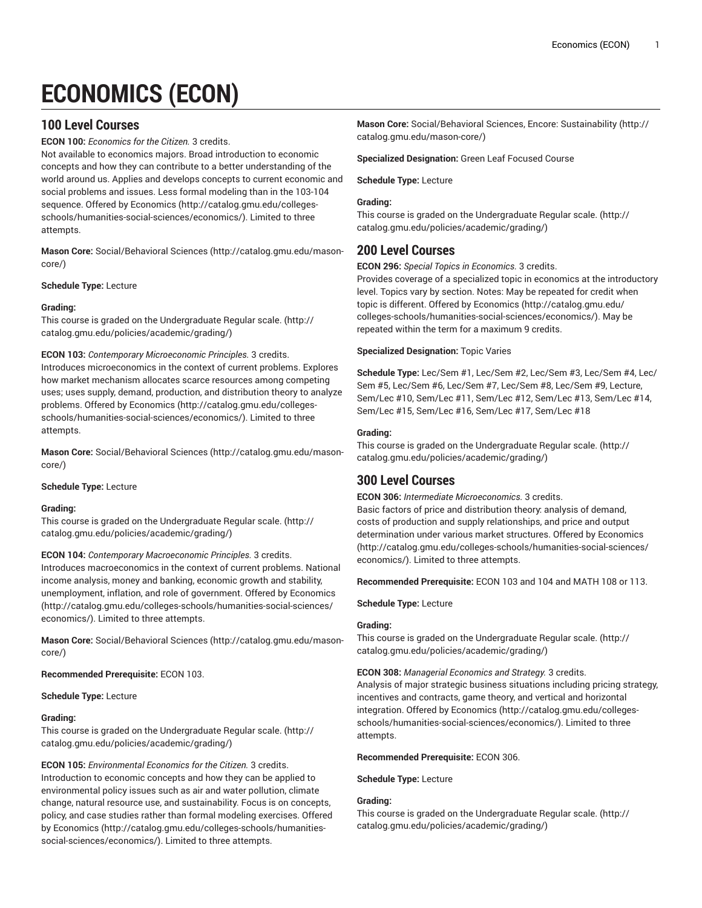# **ECONOMICS (ECON)**

# **100 Level Courses**

**ECON 100:** *Economics for the Citizen.* 3 credits.

Not available to economics majors. Broad introduction to economic concepts and how they can contribute to a better understanding of the world around us. Applies and develops concepts to current economic and social problems and issues. Less formal modeling than in the 103-104 sequence. Offered by [Economics \(http://catalog.gmu.edu/colleges](http://catalog.gmu.edu/colleges-schools/humanities-social-sciences/economics/)[schools/humanities-social-sciences/economics/](http://catalog.gmu.edu/colleges-schools/humanities-social-sciences/economics/)). Limited to three attempts.

**Mason Core:** [Social/Behavioral](http://catalog.gmu.edu/mason-core/) Sciences ([http://catalog.gmu.edu/mason](http://catalog.gmu.edu/mason-core/)[core/\)](http://catalog.gmu.edu/mason-core/)

**Schedule Type:** Lecture

# **Grading:**

This course is graded on the [Undergraduate](http://catalog.gmu.edu/policies/academic/grading/) Regular scale. ([http://](http://catalog.gmu.edu/policies/academic/grading/) [catalog.gmu.edu/policies/academic/grading/\)](http://catalog.gmu.edu/policies/academic/grading/)

**ECON 103:** *Contemporary Microeconomic Principles.* 3 credits. Introduces microeconomics in the context of current problems. Explores how market mechanism allocates scarce resources among competing uses; uses supply, demand, production, and distribution theory to analyze problems. Offered by [Economics \(http://catalog.gmu.edu/colleges](http://catalog.gmu.edu/colleges-schools/humanities-social-sciences/economics/)[schools/humanities-social-sciences/economics/](http://catalog.gmu.edu/colleges-schools/humanities-social-sciences/economics/)). Limited to three attempts.

**Mason Core:** [Social/Behavioral](http://catalog.gmu.edu/mason-core/) Sciences ([http://catalog.gmu.edu/mason](http://catalog.gmu.edu/mason-core/)[core/\)](http://catalog.gmu.edu/mason-core/)

# **Schedule Type:** Lecture

# **Grading:**

This course is graded on the [Undergraduate](http://catalog.gmu.edu/policies/academic/grading/) Regular scale. ([http://](http://catalog.gmu.edu/policies/academic/grading/) [catalog.gmu.edu/policies/academic/grading/\)](http://catalog.gmu.edu/policies/academic/grading/)

**ECON 104:** *Contemporary Macroeconomic Principles.* 3 credits. Introduces macroeconomics in the context of current problems. National income analysis, money and banking, economic growth and stability, unemployment, inflation, and role of government. Offered by [Economics](http://catalog.gmu.edu/colleges-schools/humanities-social-sciences/economics/) ([http://catalog.gmu.edu/colleges-schools/humanities-social-sciences/](http://catalog.gmu.edu/colleges-schools/humanities-social-sciences/economics/) [economics/\)](http://catalog.gmu.edu/colleges-schools/humanities-social-sciences/economics/). Limited to three attempts.

**Mason Core:** [Social/Behavioral](http://catalog.gmu.edu/mason-core/) Sciences ([http://catalog.gmu.edu/mason](http://catalog.gmu.edu/mason-core/)[core/\)](http://catalog.gmu.edu/mason-core/)

**Recommended Prerequisite:** ECON 103.

# **Schedule Type:** Lecture

# **Grading:**

This course is graded on the [Undergraduate](http://catalog.gmu.edu/policies/academic/grading/) Regular scale. ([http://](http://catalog.gmu.edu/policies/academic/grading/) [catalog.gmu.edu/policies/academic/grading/\)](http://catalog.gmu.edu/policies/academic/grading/)

**ECON 105:** *Environmental Economics for the Citizen.* 3 credits. Introduction to economic concepts and how they can be applied to environmental policy issues such as air and water pollution, climate change, natural resource use, and sustainability. Focus is on concepts, policy, and case studies rather than formal modeling exercises. Offered by [Economics](http://catalog.gmu.edu/colleges-schools/humanities-social-sciences/economics/) [\(http://catalog.gmu.edu/colleges-schools/humanities](http://catalog.gmu.edu/colleges-schools/humanities-social-sciences/economics/)[social-sciences/economics/\)](http://catalog.gmu.edu/colleges-schools/humanities-social-sciences/economics/). Limited to three attempts.

**Mason Core:** [Social/Behavioral](http://catalog.gmu.edu/mason-core/) Sciences, Encore: Sustainability ([http://](http://catalog.gmu.edu/mason-core/) [catalog.gmu.edu/mason-core/](http://catalog.gmu.edu/mason-core/))

# **Specialized Designation:** Green Leaf Focused Course

**Schedule Type:** Lecture

# **Grading:**

This course is graded on the [Undergraduate](http://catalog.gmu.edu/policies/academic/grading/) Regular scale. ([http://](http://catalog.gmu.edu/policies/academic/grading/) [catalog.gmu.edu/policies/academic/grading/](http://catalog.gmu.edu/policies/academic/grading/))

# **200 Level Courses**

**ECON 296:** *Special Topics in Economics.* 3 credits.

Provides coverage of a specialized topic in economics at the introductory level. Topics vary by section. Notes: May be repeated for credit when topic is different. Offered by [Economics](http://catalog.gmu.edu/colleges-schools/humanities-social-sciences/economics/) ([http://catalog.gmu.edu/](http://catalog.gmu.edu/colleges-schools/humanities-social-sciences/economics/) [colleges-schools/humanities-social-sciences/economics/](http://catalog.gmu.edu/colleges-schools/humanities-social-sciences/economics/)). May be repeated within the term for a maximum 9 credits.

# **Specialized Designation:** Topic Varies

**Schedule Type:** Lec/Sem #1, Lec/Sem #2, Lec/Sem #3, Lec/Sem #4, Lec/ Sem #5, Lec/Sem #6, Lec/Sem #7, Lec/Sem #8, Lec/Sem #9, Lecture, Sem/Lec #10, Sem/Lec #11, Sem/Lec #12, Sem/Lec #13, Sem/Lec #14, Sem/Lec #15, Sem/Lec #16, Sem/Lec #17, Sem/Lec #18

# **Grading:**

This course is graded on the [Undergraduate](http://catalog.gmu.edu/policies/academic/grading/) Regular scale. ([http://](http://catalog.gmu.edu/policies/academic/grading/) [catalog.gmu.edu/policies/academic/grading/](http://catalog.gmu.edu/policies/academic/grading/))

# **300 Level Courses**

**ECON 306:** *Intermediate Microeconomics.* 3 credits. Basic factors of price and distribution theory: analysis of demand, costs of production and supply relationships, and price and output determination under various market structures. Offered by [Economics](http://catalog.gmu.edu/colleges-schools/humanities-social-sciences/economics/) [\(http://catalog.gmu.edu/colleges-schools/humanities-social-sciences/](http://catalog.gmu.edu/colleges-schools/humanities-social-sciences/economics/) [economics/](http://catalog.gmu.edu/colleges-schools/humanities-social-sciences/economics/)). Limited to three attempts.

**Recommended Prerequisite:** ECON 103 and 104 and MATH 108 or 113.

**Schedule Type:** Lecture

# **Grading:**

This course is graded on the [Undergraduate](http://catalog.gmu.edu/policies/academic/grading/) Regular scale. ([http://](http://catalog.gmu.edu/policies/academic/grading/) [catalog.gmu.edu/policies/academic/grading/](http://catalog.gmu.edu/policies/academic/grading/))

**ECON 308:** *Managerial Economics and Strategy.* 3 credits. Analysis of major strategic business situations including pricing strategy, incentives and contracts, game theory, and vertical and horizontal integration. Offered by [Economics](http://catalog.gmu.edu/colleges-schools/humanities-social-sciences/economics/) [\(http://catalog.gmu.edu/colleges](http://catalog.gmu.edu/colleges-schools/humanities-social-sciences/economics/)[schools/humanities-social-sciences/economics/\)](http://catalog.gmu.edu/colleges-schools/humanities-social-sciences/economics/). Limited to three

**Recommended Prerequisite:** ECON 306.

**Schedule Type:** Lecture

# **Grading:**

attempts.

This course is graded on the [Undergraduate](http://catalog.gmu.edu/policies/academic/grading/) Regular scale. ([http://](http://catalog.gmu.edu/policies/academic/grading/) [catalog.gmu.edu/policies/academic/grading/](http://catalog.gmu.edu/policies/academic/grading/))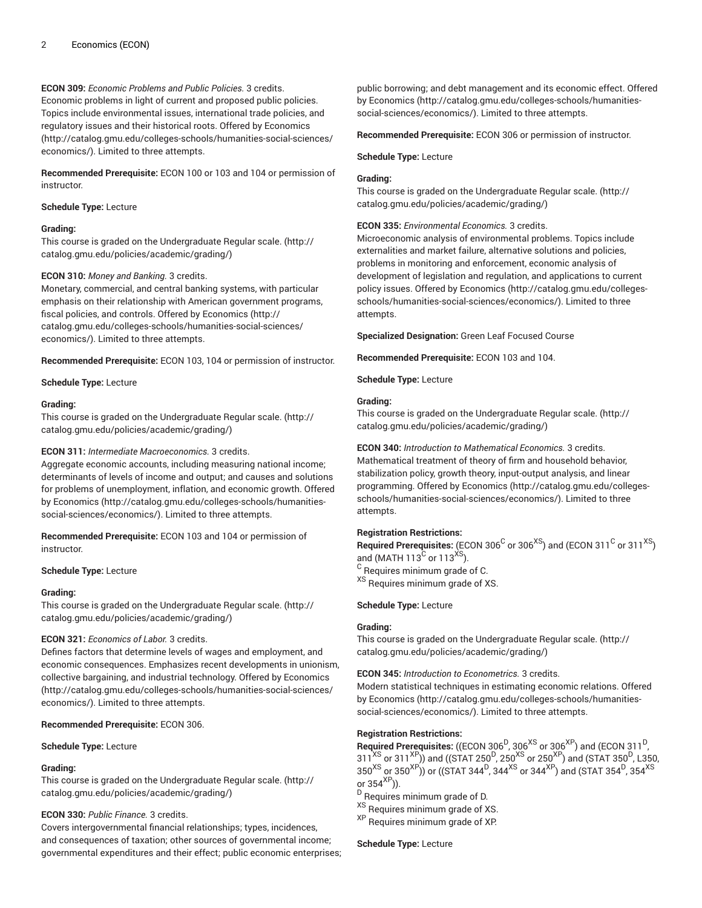**ECON 309:** *Economic Problems and Public Policies.* 3 credits. Economic problems in light of current and proposed public policies. Topics include environmental issues, international trade policies, and regulatory issues and their historical roots. Offered by [Economics](http://catalog.gmu.edu/colleges-schools/humanities-social-sciences/economics/) ([http://catalog.gmu.edu/colleges-schools/humanities-social-sciences/](http://catalog.gmu.edu/colleges-schools/humanities-social-sciences/economics/) [economics/\)](http://catalog.gmu.edu/colleges-schools/humanities-social-sciences/economics/). Limited to three attempts.

**Recommended Prerequisite:** ECON 100 or 103 and 104 or permission of instructor.

#### **Schedule Type:** Lecture

### **Grading:**

This course is graded on the [Undergraduate](http://catalog.gmu.edu/policies/academic/grading/) Regular scale. ([http://](http://catalog.gmu.edu/policies/academic/grading/) [catalog.gmu.edu/policies/academic/grading/\)](http://catalog.gmu.edu/policies/academic/grading/)

# **ECON 310:** *Money and Banking.* 3 credits.

Monetary, commercial, and central banking systems, with particular emphasis on their relationship with American government programs, fiscal policies, and controls. Offered by [Economics \(http://](http://catalog.gmu.edu/colleges-schools/humanities-social-sciences/economics/) [catalog.gmu.edu/colleges-schools/humanities-social-sciences/](http://catalog.gmu.edu/colleges-schools/humanities-social-sciences/economics/) [economics/\)](http://catalog.gmu.edu/colleges-schools/humanities-social-sciences/economics/). Limited to three attempts.

**Recommended Prerequisite:** ECON 103, 104 or permission of instructor.

**Schedule Type:** Lecture

#### **Grading:**

This course is graded on the [Undergraduate](http://catalog.gmu.edu/policies/academic/grading/) Regular scale. ([http://](http://catalog.gmu.edu/policies/academic/grading/) [catalog.gmu.edu/policies/academic/grading/\)](http://catalog.gmu.edu/policies/academic/grading/)

# **ECON 311:** *Intermediate Macroeconomics.* 3 credits.

Aggregate economic accounts, including measuring national income; determinants of levels of income and output; and causes and solutions for problems of unemployment, inflation, and economic growth. Offered by [Economics](http://catalog.gmu.edu/colleges-schools/humanities-social-sciences/economics/) [\(http://catalog.gmu.edu/colleges-schools/humanities](http://catalog.gmu.edu/colleges-schools/humanities-social-sciences/economics/)[social-sciences/economics/\)](http://catalog.gmu.edu/colleges-schools/humanities-social-sciences/economics/). Limited to three attempts.

**Recommended Prerequisite:** ECON 103 and 104 or permission of instructor.

**Schedule Type:** Lecture

#### **Grading:**

This course is graded on the [Undergraduate](http://catalog.gmu.edu/policies/academic/grading/) Regular scale. ([http://](http://catalog.gmu.edu/policies/academic/grading/) [catalog.gmu.edu/policies/academic/grading/\)](http://catalog.gmu.edu/policies/academic/grading/)

#### **ECON 321:** *Economics of Labor.* 3 credits.

Defines factors that determine levels of wages and employment, and economic consequences. Emphasizes recent developments in unionism, collective bargaining, and industrial technology. Offered by [Economics](http://catalog.gmu.edu/colleges-schools/humanities-social-sciences/economics/) ([http://catalog.gmu.edu/colleges-schools/humanities-social-sciences/](http://catalog.gmu.edu/colleges-schools/humanities-social-sciences/economics/) [economics/\)](http://catalog.gmu.edu/colleges-schools/humanities-social-sciences/economics/). Limited to three attempts.

# **Recommended Prerequisite:** ECON 306.

#### **Schedule Type:** Lecture

# **Grading:**

This course is graded on the [Undergraduate](http://catalog.gmu.edu/policies/academic/grading/) Regular scale. ([http://](http://catalog.gmu.edu/policies/academic/grading/) [catalog.gmu.edu/policies/academic/grading/\)](http://catalog.gmu.edu/policies/academic/grading/)

# **ECON 330:** *Public Finance.* 3 credits.

Covers intergovernmental financial relationships; types, incidences, and consequences of taxation; other sources of governmental income; governmental expenditures and their effect; public economic enterprises;

public borrowing; and debt management and its economic effect. Offered by [Economics \(http://catalog.gmu.edu/colleges-schools/humanities](http://catalog.gmu.edu/colleges-schools/humanities-social-sciences/economics/)[social-sciences/economics/\)](http://catalog.gmu.edu/colleges-schools/humanities-social-sciences/economics/). Limited to three attempts.

**Recommended Prerequisite:** ECON 306 or permission of instructor.

#### **Schedule Type:** Lecture

### **Grading:**

This course is graded on the [Undergraduate](http://catalog.gmu.edu/policies/academic/grading/) Regular scale. ([http://](http://catalog.gmu.edu/policies/academic/grading/) [catalog.gmu.edu/policies/academic/grading/](http://catalog.gmu.edu/policies/academic/grading/))

### **ECON 335:** *Environmental Economics.* 3 credits.

Microeconomic analysis of environmental problems. Topics include externalities and market failure, alternative solutions and policies, problems in monitoring and enforcement, economic analysis of development of legislation and regulation, and applications to current policy issues. Offered by [Economics](http://catalog.gmu.edu/colleges-schools/humanities-social-sciences/economics/) ([http://catalog.gmu.edu/colleges](http://catalog.gmu.edu/colleges-schools/humanities-social-sciences/economics/)[schools/humanities-social-sciences/economics/\)](http://catalog.gmu.edu/colleges-schools/humanities-social-sciences/economics/). Limited to three attempts.

**Specialized Designation:** Green Leaf Focused Course

**Recommended Prerequisite:** ECON 103 and 104.

**Schedule Type:** Lecture

# **Grading:**

This course is graded on the [Undergraduate](http://catalog.gmu.edu/policies/academic/grading/) Regular scale. ([http://](http://catalog.gmu.edu/policies/academic/grading/) [catalog.gmu.edu/policies/academic/grading/](http://catalog.gmu.edu/policies/academic/grading/))

**ECON 340:** *Introduction to Mathematical Economics.* 3 credits. Mathematical treatment of theory of firm and household behavior, stabilization policy, growth theory, input-output analysis, and linear programming. Offered by [Economics](http://catalog.gmu.edu/colleges-schools/humanities-social-sciences/economics/) ([http://catalog.gmu.edu/colleges](http://catalog.gmu.edu/colleges-schools/humanities-social-sciences/economics/)[schools/humanities-social-sciences/economics/\)](http://catalog.gmu.edu/colleges-schools/humanities-social-sciences/economics/). Limited to three attempts.

# **Registration Restrictions:**

 $\bf{Required~Pre requires:}$  (ECON 306 $^{\rm C}$  or 306 $^{\rm XS}$ ) and (ECON 311 $^{\rm C}$  or 311 $^{\rm XS}$ ) and (MATH 113 $^{\rm C}$  or 113 $^{\rm XS}$ ).  $^{\rm C}$  Requires minimum grade of C. XS Requires minimum grade of XS.

**Schedule Type:** Lecture

#### **Grading:**

This course is graded on the [Undergraduate](http://catalog.gmu.edu/policies/academic/grading/) Regular scale. ([http://](http://catalog.gmu.edu/policies/academic/grading/) [catalog.gmu.edu/policies/academic/grading/](http://catalog.gmu.edu/policies/academic/grading/))

**ECON 345:** *Introduction to Econometrics.* 3 credits.

Modern statistical techniques in estimating economic relations. Offered by [Economics \(http://catalog.gmu.edu/colleges-schools/humanities](http://catalog.gmu.edu/colleges-schools/humanities-social-sciences/economics/)[social-sciences/economics/\)](http://catalog.gmu.edu/colleges-schools/humanities-social-sciences/economics/). Limited to three attempts.

# **Registration Restrictions:**

 $\,$  Required Prerequisites: ((ECON 306 $^{D}$ , 306 $^{X \rm S}$  or 306 $^{X \rm P}$ ) and (ECON 311 $^{D}$ ,  $311^\mathrm{XS}$  or  $311^\mathrm{XP})$ ) and ((STAT 250 $^\mathrm{D}$ , 250 $^\mathrm{XS}$  or 250 $^\mathrm{XP})$  and (STAT 350 $^\mathrm{D}$ , L350,  $(350^\text{XS}$  or  $350^\text{XP})$ ) or ((STAT 344<sup>D</sup>, 344<sup>XS</sup> or 344<sup>XP</sup>) and (STAT 354<sup>D</sup>, 354<sup>XS</sup> or  $354^{\text{XP}}$ )).

<sup>D</sup> Requires minimum grade of D.

XS Requires minimum grade of XS.

XP Requires minimum grade of XP.

# **Schedule Type:** Lecture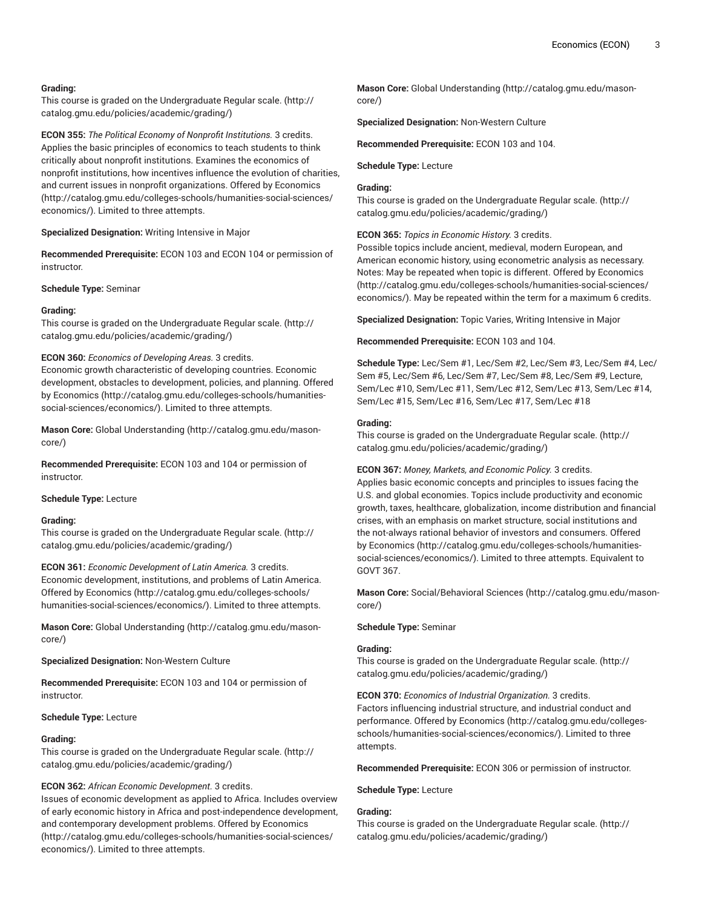# **Grading:**

This course is graded on the [Undergraduate](http://catalog.gmu.edu/policies/academic/grading/) Regular scale. ([http://](http://catalog.gmu.edu/policies/academic/grading/) [catalog.gmu.edu/policies/academic/grading/\)](http://catalog.gmu.edu/policies/academic/grading/)

**ECON 355:** *The Political Economy of Nonprofit Institutions.* 3 credits. Applies the basic principles of economics to teach students to think critically about nonprofit institutions. Examines the economics of nonprofit institutions, how incentives influence the evolution of charities, and current issues in nonprofit organizations. Offered by [Economics](http://catalog.gmu.edu/colleges-schools/humanities-social-sciences/economics/) ([http://catalog.gmu.edu/colleges-schools/humanities-social-sciences/](http://catalog.gmu.edu/colleges-schools/humanities-social-sciences/economics/) [economics/\)](http://catalog.gmu.edu/colleges-schools/humanities-social-sciences/economics/). Limited to three attempts.

**Specialized Designation:** Writing Intensive in Major

**Recommended Prerequisite:** ECON 103 and ECON 104 or permission of instructor.

**Schedule Type:** Seminar

# **Grading:**

This course is graded on the [Undergraduate](http://catalog.gmu.edu/policies/academic/grading/) Regular scale. ([http://](http://catalog.gmu.edu/policies/academic/grading/) [catalog.gmu.edu/policies/academic/grading/\)](http://catalog.gmu.edu/policies/academic/grading/)

**ECON 360:** *Economics of Developing Areas.* 3 credits.

Economic growth characteristic of developing countries. Economic development, obstacles to development, policies, and planning. Offered by [Economics](http://catalog.gmu.edu/colleges-schools/humanities-social-sciences/economics/) [\(http://catalog.gmu.edu/colleges-schools/humanities](http://catalog.gmu.edu/colleges-schools/humanities-social-sciences/economics/)[social-sciences/economics/\)](http://catalog.gmu.edu/colleges-schools/humanities-social-sciences/economics/). Limited to three attempts.

**Mason Core:** [Global Understanding](http://catalog.gmu.edu/mason-core/) ([http://catalog.gmu.edu/mason](http://catalog.gmu.edu/mason-core/)[core/\)](http://catalog.gmu.edu/mason-core/)

**Recommended Prerequisite:** ECON 103 and 104 or permission of instructor.

# **Schedule Type:** Lecture

### **Grading:**

This course is graded on the [Undergraduate](http://catalog.gmu.edu/policies/academic/grading/) Regular scale. ([http://](http://catalog.gmu.edu/policies/academic/grading/) [catalog.gmu.edu/policies/academic/grading/\)](http://catalog.gmu.edu/policies/academic/grading/)

**ECON 361:** *Economic Development of Latin America.* 3 credits. Economic development, institutions, and problems of Latin America. Offered by [Economics](http://catalog.gmu.edu/colleges-schools/humanities-social-sciences/economics/) ([http://catalog.gmu.edu/colleges-schools/](http://catalog.gmu.edu/colleges-schools/humanities-social-sciences/economics/) [humanities-social-sciences/economics/\)](http://catalog.gmu.edu/colleges-schools/humanities-social-sciences/economics/). Limited to three attempts.

**Mason Core:** [Global Understanding](http://catalog.gmu.edu/mason-core/) ([http://catalog.gmu.edu/mason](http://catalog.gmu.edu/mason-core/)[core/\)](http://catalog.gmu.edu/mason-core/)

**Specialized Designation:** Non-Western Culture

**Recommended Prerequisite:** ECON 103 and 104 or permission of instructor.

**Schedule Type:** Lecture

#### **Grading:**

This course is graded on the [Undergraduate](http://catalog.gmu.edu/policies/academic/grading/) Regular scale. ([http://](http://catalog.gmu.edu/policies/academic/grading/) [catalog.gmu.edu/policies/academic/grading/\)](http://catalog.gmu.edu/policies/academic/grading/)

#### **ECON 362:** *African Economic Development.* 3 credits.

Issues of economic development as applied to Africa. Includes overview of early economic history in Africa and post-independence development, and contemporary development problems. Offered by [Economics](http://catalog.gmu.edu/colleges-schools/humanities-social-sciences/economics/) ([http://catalog.gmu.edu/colleges-schools/humanities-social-sciences/](http://catalog.gmu.edu/colleges-schools/humanities-social-sciences/economics/) [economics/\)](http://catalog.gmu.edu/colleges-schools/humanities-social-sciences/economics/). Limited to three attempts.

**Mason Core:** [Global Understanding \(http://catalog.gmu.edu/mason](http://catalog.gmu.edu/mason-core/)[core/](http://catalog.gmu.edu/mason-core/))

**Specialized Designation:** Non-Western Culture

**Recommended Prerequisite:** ECON 103 and 104.

**Schedule Type:** Lecture

# **Grading:**

This course is graded on the [Undergraduate](http://catalog.gmu.edu/policies/academic/grading/) Regular scale. ([http://](http://catalog.gmu.edu/policies/academic/grading/) [catalog.gmu.edu/policies/academic/grading/](http://catalog.gmu.edu/policies/academic/grading/))

**ECON 365:** *Topics in Economic History.* 3 credits.

Possible topics include ancient, medieval, modern European, and American economic history, using econometric analysis as necessary. Notes: May be repeated when topic is different. Offered by [Economics](http://catalog.gmu.edu/colleges-schools/humanities-social-sciences/economics/) [\(http://catalog.gmu.edu/colleges-schools/humanities-social-sciences/](http://catalog.gmu.edu/colleges-schools/humanities-social-sciences/economics/) [economics/](http://catalog.gmu.edu/colleges-schools/humanities-social-sciences/economics/)). May be repeated within the term for a maximum 6 credits.

**Specialized Designation:** Topic Varies, Writing Intensive in Major

**Recommended Prerequisite:** ECON 103 and 104.

**Schedule Type:** Lec/Sem #1, Lec/Sem #2, Lec/Sem #3, Lec/Sem #4, Lec/ Sem #5, Lec/Sem #6, Lec/Sem #7, Lec/Sem #8, Lec/Sem #9, Lecture, Sem/Lec #10, Sem/Lec #11, Sem/Lec #12, Sem/Lec #13, Sem/Lec #14, Sem/Lec #15, Sem/Lec #16, Sem/Lec #17, Sem/Lec #18

# **Grading:**

This course is graded on the [Undergraduate](http://catalog.gmu.edu/policies/academic/grading/) Regular scale. ([http://](http://catalog.gmu.edu/policies/academic/grading/) [catalog.gmu.edu/policies/academic/grading/](http://catalog.gmu.edu/policies/academic/grading/))

**ECON 367:** *Money, Markets, and Economic Policy.* 3 credits.

Applies basic economic concepts and principles to issues facing the U.S. and global economies. Topics include productivity and economic growth, taxes, healthcare, globalization, income distribution and financial crises, with an emphasis on market structure, social institutions and the not-always rational behavior of investors and consumers. Offered by [Economics \(http://catalog.gmu.edu/colleges-schools/humanities](http://catalog.gmu.edu/colleges-schools/humanities-social-sciences/economics/)[social-sciences/economics/\)](http://catalog.gmu.edu/colleges-schools/humanities-social-sciences/economics/). Limited to three attempts. Equivalent to GOVT 367.

**Mason Core:** [Social/Behavioral](http://catalog.gmu.edu/mason-core/) Sciences [\(http://catalog.gmu.edu/mason](http://catalog.gmu.edu/mason-core/)[core/](http://catalog.gmu.edu/mason-core/))

#### **Schedule Type:** Seminar

# **Grading:**

This course is graded on the [Undergraduate](http://catalog.gmu.edu/policies/academic/grading/) Regular scale. ([http://](http://catalog.gmu.edu/policies/academic/grading/) [catalog.gmu.edu/policies/academic/grading/](http://catalog.gmu.edu/policies/academic/grading/))

**ECON 370:** *Economics of Industrial Organization.* 3 credits. Factors influencing industrial structure, and industrial conduct and performance. Offered by [Economics](http://catalog.gmu.edu/colleges-schools/humanities-social-sciences/economics/) [\(http://catalog.gmu.edu/colleges](http://catalog.gmu.edu/colleges-schools/humanities-social-sciences/economics/)[schools/humanities-social-sciences/economics/\)](http://catalog.gmu.edu/colleges-schools/humanities-social-sciences/economics/). Limited to three attempts.

**Recommended Prerequisite:** ECON 306 or permission of instructor.

**Schedule Type:** Lecture

# **Grading:**

This course is graded on the [Undergraduate](http://catalog.gmu.edu/policies/academic/grading/) Regular scale. ([http://](http://catalog.gmu.edu/policies/academic/grading/) [catalog.gmu.edu/policies/academic/grading/](http://catalog.gmu.edu/policies/academic/grading/))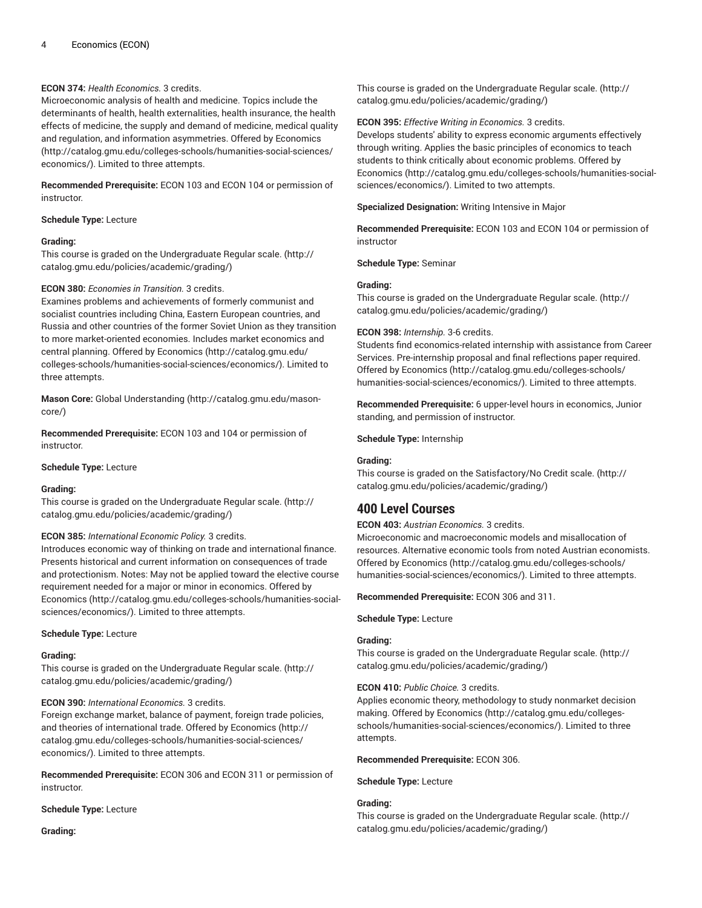# **ECON 374:** *Health Economics.* 3 credits.

Microeconomic analysis of health and medicine. Topics include the determinants of health, health externalities, health insurance, the health effects of medicine, the supply and demand of medicine, medical quality and regulation, and information asymmetries. Offered by [Economics](http://catalog.gmu.edu/colleges-schools/humanities-social-sciences/economics/) ([http://catalog.gmu.edu/colleges-schools/humanities-social-sciences/](http://catalog.gmu.edu/colleges-schools/humanities-social-sciences/economics/) [economics/\)](http://catalog.gmu.edu/colleges-schools/humanities-social-sciences/economics/). Limited to three attempts.

**Recommended Prerequisite:** ECON 103 and ECON 104 or permission of instructor.

#### **Schedule Type:** Lecture

#### **Grading:**

This course is graded on the [Undergraduate](http://catalog.gmu.edu/policies/academic/grading/) Regular scale. ([http://](http://catalog.gmu.edu/policies/academic/grading/) [catalog.gmu.edu/policies/academic/grading/\)](http://catalog.gmu.edu/policies/academic/grading/)

#### **ECON 380:** *Economies in Transition.* 3 credits.

Examines problems and achievements of formerly communist and socialist countries including China, Eastern European countries, and Russia and other countries of the former Soviet Union as they transition to more market-oriented economies. Includes market economics and central planning. Offered by [Economics](http://catalog.gmu.edu/colleges-schools/humanities-social-sciences/economics/) ([http://catalog.gmu.edu/](http://catalog.gmu.edu/colleges-schools/humanities-social-sciences/economics/) [colleges-schools/humanities-social-sciences/economics/\)](http://catalog.gmu.edu/colleges-schools/humanities-social-sciences/economics/). Limited to three attempts.

**Mason Core:** [Global Understanding](http://catalog.gmu.edu/mason-core/) ([http://catalog.gmu.edu/mason](http://catalog.gmu.edu/mason-core/)[core/\)](http://catalog.gmu.edu/mason-core/)

**Recommended Prerequisite:** ECON 103 and 104 or permission of instructor.

**Schedule Type:** Lecture

#### **Grading:**

This course is graded on the [Undergraduate](http://catalog.gmu.edu/policies/academic/grading/) Regular scale. ([http://](http://catalog.gmu.edu/policies/academic/grading/) [catalog.gmu.edu/policies/academic/grading/\)](http://catalog.gmu.edu/policies/academic/grading/)

# **ECON 385:** *International Economic Policy.* 3 credits.

Introduces economic way of thinking on trade and international finance. Presents historical and current information on consequences of trade and protectionism. Notes: May not be applied toward the elective course requirement needed for a major or minor in economics. Offered by [Economics](http://catalog.gmu.edu/colleges-schools/humanities-social-sciences/economics/) ([http://catalog.gmu.edu/colleges-schools/humanities-social](http://catalog.gmu.edu/colleges-schools/humanities-social-sciences/economics/)[sciences/economics/\)](http://catalog.gmu.edu/colleges-schools/humanities-social-sciences/economics/). Limited to three attempts.

#### **Schedule Type:** Lecture

#### **Grading:**

This course is graded on the [Undergraduate](http://catalog.gmu.edu/policies/academic/grading/) Regular scale. ([http://](http://catalog.gmu.edu/policies/academic/grading/) [catalog.gmu.edu/policies/academic/grading/\)](http://catalog.gmu.edu/policies/academic/grading/)

# **ECON 390:** *International Economics.* 3 credits.

Foreign exchange market, balance of payment, foreign trade policies, and theories of international trade. Offered by [Economics](http://catalog.gmu.edu/colleges-schools/humanities-social-sciences/economics/) ([http://](http://catalog.gmu.edu/colleges-schools/humanities-social-sciences/economics/) [catalog.gmu.edu/colleges-schools/humanities-social-sciences/](http://catalog.gmu.edu/colleges-schools/humanities-social-sciences/economics/) [economics/\)](http://catalog.gmu.edu/colleges-schools/humanities-social-sciences/economics/). Limited to three attempts.

**Recommended Prerequisite:** ECON 306 and ECON 311 or permission of instructor.

**Schedule Type:** Lecture

**Grading:**

This course is graded on the [Undergraduate](http://catalog.gmu.edu/policies/academic/grading/) Regular scale. ([http://](http://catalog.gmu.edu/policies/academic/grading/) [catalog.gmu.edu/policies/academic/grading/](http://catalog.gmu.edu/policies/academic/grading/))

### **ECON 395:** *Effective Writing in Economics.* 3 credits.

Develops students' ability to express economic arguments effectively through writing. Applies the basic principles of economics to teach students to think critically about economic problems. Offered by [Economics](http://catalog.gmu.edu/colleges-schools/humanities-social-sciences/economics/) ([http://catalog.gmu.edu/colleges-schools/humanities-social](http://catalog.gmu.edu/colleges-schools/humanities-social-sciences/economics/)[sciences/economics/](http://catalog.gmu.edu/colleges-schools/humanities-social-sciences/economics/)). Limited to two attempts.

**Specialized Designation:** Writing Intensive in Major

**Recommended Prerequisite:** ECON 103 and ECON 104 or permission of instructor

**Schedule Type:** Seminar

#### **Grading:**

This course is graded on the [Undergraduate](http://catalog.gmu.edu/policies/academic/grading/) Regular scale. ([http://](http://catalog.gmu.edu/policies/academic/grading/) [catalog.gmu.edu/policies/academic/grading/](http://catalog.gmu.edu/policies/academic/grading/))

#### **ECON 398:** *Internship.* 3-6 credits.

Students find economics-related internship with assistance from Career Services. Pre-internship proposal and final reflections paper required. Offered by [Economics](http://catalog.gmu.edu/colleges-schools/humanities-social-sciences/economics/) ([http://catalog.gmu.edu/colleges-schools/](http://catalog.gmu.edu/colleges-schools/humanities-social-sciences/economics/) [humanities-social-sciences/economics/](http://catalog.gmu.edu/colleges-schools/humanities-social-sciences/economics/)). Limited to three attempts.

**Recommended Prerequisite:** 6 upper-level hours in economics, Junior standing, and permission of instructor.

**Schedule Type:** Internship

# **Grading:**

This course is graded on the [Satisfactory/No](http://catalog.gmu.edu/policies/academic/grading/) Credit scale. [\(http://](http://catalog.gmu.edu/policies/academic/grading/) [catalog.gmu.edu/policies/academic/grading/](http://catalog.gmu.edu/policies/academic/grading/))

# **400 Level Courses**

**ECON 403:** *Austrian Economics.* 3 credits.

Microeconomic and macroeconomic models and misallocation of resources. Alternative economic tools from noted Austrian economists. Offered by [Economics](http://catalog.gmu.edu/colleges-schools/humanities-social-sciences/economics/) ([http://catalog.gmu.edu/colleges-schools/](http://catalog.gmu.edu/colleges-schools/humanities-social-sciences/economics/) [humanities-social-sciences/economics/](http://catalog.gmu.edu/colleges-schools/humanities-social-sciences/economics/)). Limited to three attempts.

**Recommended Prerequisite:** ECON 306 and 311.

#### **Schedule Type:** Lecture

# **Grading:**

This course is graded on the [Undergraduate](http://catalog.gmu.edu/policies/academic/grading/) Regular scale. ([http://](http://catalog.gmu.edu/policies/academic/grading/) [catalog.gmu.edu/policies/academic/grading/](http://catalog.gmu.edu/policies/academic/grading/))

# **ECON 410:** *Public Choice.* 3 credits.

Applies economic theory, methodology to study nonmarket decision making. Offered by [Economics](http://catalog.gmu.edu/colleges-schools/humanities-social-sciences/economics/) ([http://catalog.gmu.edu/colleges](http://catalog.gmu.edu/colleges-schools/humanities-social-sciences/economics/)[schools/humanities-social-sciences/economics/\)](http://catalog.gmu.edu/colleges-schools/humanities-social-sciences/economics/). Limited to three attempts.

#### **Recommended Prerequisite:** ECON 306.

**Schedule Type:** Lecture

# **Grading:**

This course is graded on the [Undergraduate](http://catalog.gmu.edu/policies/academic/grading/) Regular scale. ([http://](http://catalog.gmu.edu/policies/academic/grading/) [catalog.gmu.edu/policies/academic/grading/](http://catalog.gmu.edu/policies/academic/grading/))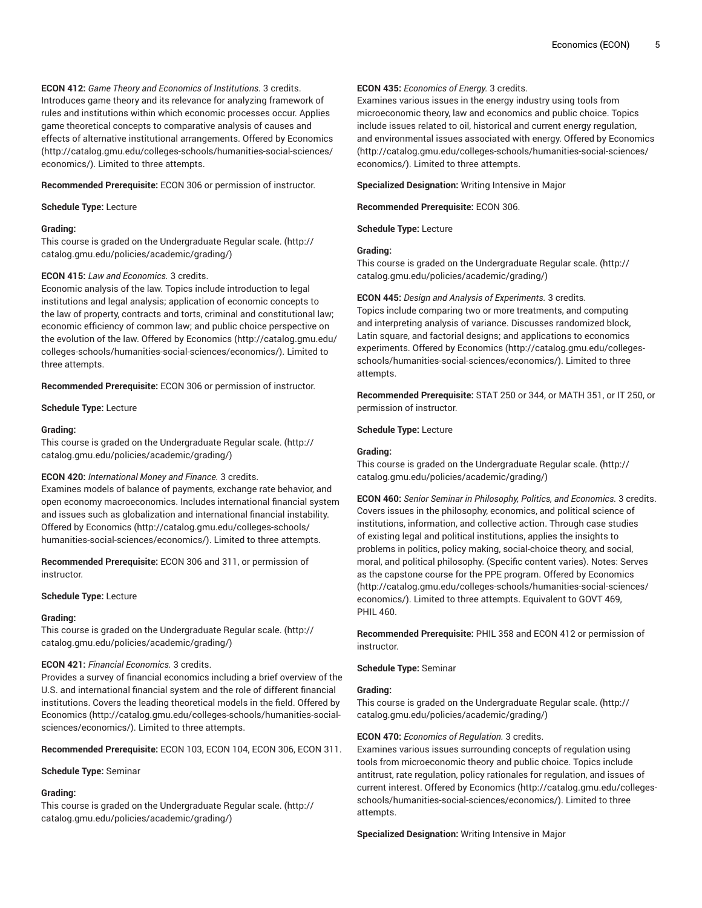**ECON 412:** *Game Theory and Economics of Institutions.* 3 credits. Introduces game theory and its relevance for analyzing framework of rules and institutions within which economic processes occur. Applies game theoretical concepts to comparative analysis of causes and effects of alternative institutional arrangements. Offered by [Economics](http://catalog.gmu.edu/colleges-schools/humanities-social-sciences/economics/) ([http://catalog.gmu.edu/colleges-schools/humanities-social-sciences/](http://catalog.gmu.edu/colleges-schools/humanities-social-sciences/economics/) [economics/\)](http://catalog.gmu.edu/colleges-schools/humanities-social-sciences/economics/). Limited to three attempts.

**Recommended Prerequisite:** ECON 306 or permission of instructor.

### **Schedule Type:** Lecture

# **Grading:**

This course is graded on the [Undergraduate](http://catalog.gmu.edu/policies/academic/grading/) Regular scale. ([http://](http://catalog.gmu.edu/policies/academic/grading/) [catalog.gmu.edu/policies/academic/grading/\)](http://catalog.gmu.edu/policies/academic/grading/)

# **ECON 415:** *Law and Economics.* 3 credits.

Economic analysis of the law. Topics include introduction to legal institutions and legal analysis; application of economic concepts to the law of property, contracts and torts, criminal and constitutional law; economic efficiency of common law; and public choice perspective on the evolution of the law. Offered by [Economics](http://catalog.gmu.edu/colleges-schools/humanities-social-sciences/economics/) [\(http://catalog.gmu.edu/](http://catalog.gmu.edu/colleges-schools/humanities-social-sciences/economics/) [colleges-schools/humanities-social-sciences/economics/\)](http://catalog.gmu.edu/colleges-schools/humanities-social-sciences/economics/). Limited to three attempts.

**Recommended Prerequisite:** ECON 306 or permission of instructor.

**Schedule Type:** Lecture

# **Grading:**

This course is graded on the [Undergraduate](http://catalog.gmu.edu/policies/academic/grading/) Regular scale. ([http://](http://catalog.gmu.edu/policies/academic/grading/) [catalog.gmu.edu/policies/academic/grading/\)](http://catalog.gmu.edu/policies/academic/grading/)

# **ECON 420:** *International Money and Finance.* 3 credits.

Examines models of balance of payments, exchange rate behavior, and open economy macroeconomics. Includes international financial system and issues such as globalization and international financial instability. Offered by [Economics](http://catalog.gmu.edu/colleges-schools/humanities-social-sciences/economics/) ([http://catalog.gmu.edu/colleges-schools/](http://catalog.gmu.edu/colleges-schools/humanities-social-sciences/economics/) [humanities-social-sciences/economics/\)](http://catalog.gmu.edu/colleges-schools/humanities-social-sciences/economics/). Limited to three attempts.

**Recommended Prerequisite:** ECON 306 and 311, or permission of instructor.

# **Schedule Type:** Lecture

# **Grading:**

This course is graded on the [Undergraduate](http://catalog.gmu.edu/policies/academic/grading/) Regular scale. ([http://](http://catalog.gmu.edu/policies/academic/grading/) [catalog.gmu.edu/policies/academic/grading/\)](http://catalog.gmu.edu/policies/academic/grading/)

# **ECON 421:** *Financial Economics.* 3 credits.

Provides a survey of financial economics including a brief overview of the U.S. and international financial system and the role of different financial institutions. Covers the leading theoretical models in the field. Offered by [Economics](http://catalog.gmu.edu/colleges-schools/humanities-social-sciences/economics/) ([http://catalog.gmu.edu/colleges-schools/humanities-social](http://catalog.gmu.edu/colleges-schools/humanities-social-sciences/economics/)[sciences/economics/\)](http://catalog.gmu.edu/colleges-schools/humanities-social-sciences/economics/). Limited to three attempts.

**Recommended Prerequisite:** ECON 103, ECON 104, ECON 306, ECON 311.

**Schedule Type:** Seminar

# **Grading:**

This course is graded on the [Undergraduate](http://catalog.gmu.edu/policies/academic/grading/) Regular scale. ([http://](http://catalog.gmu.edu/policies/academic/grading/) [catalog.gmu.edu/policies/academic/grading/\)](http://catalog.gmu.edu/policies/academic/grading/)

# **ECON 435:** *Economics of Energy.* 3 credits.

Examines various issues in the energy industry using tools from microeconomic theory, law and economics and public choice. Topics include issues related to oil, historical and current energy regulation, and environmental issues associated with energy. Offered by [Economics](http://catalog.gmu.edu/colleges-schools/humanities-social-sciences/economics/) [\(http://catalog.gmu.edu/colleges-schools/humanities-social-sciences/](http://catalog.gmu.edu/colleges-schools/humanities-social-sciences/economics/) [economics/](http://catalog.gmu.edu/colleges-schools/humanities-social-sciences/economics/)). Limited to three attempts.

**Specialized Designation:** Writing Intensive in Major

**Recommended Prerequisite:** ECON 306.

**Schedule Type:** Lecture

# **Grading:**

This course is graded on the [Undergraduate](http://catalog.gmu.edu/policies/academic/grading/) Regular scale. ([http://](http://catalog.gmu.edu/policies/academic/grading/) [catalog.gmu.edu/policies/academic/grading/](http://catalog.gmu.edu/policies/academic/grading/))

### **ECON 445:** *Design and Analysis of Experiments.* 3 credits.

Topics include comparing two or more treatments, and computing and interpreting analysis of variance. Discusses randomized block, Latin square, and factorial designs; and applications to economics experiments. Offered by [Economics](http://catalog.gmu.edu/colleges-schools/humanities-social-sciences/economics/) ([http://catalog.gmu.edu/colleges](http://catalog.gmu.edu/colleges-schools/humanities-social-sciences/economics/)[schools/humanities-social-sciences/economics/\)](http://catalog.gmu.edu/colleges-schools/humanities-social-sciences/economics/). Limited to three attempts.

**Recommended Prerequisite:** STAT 250 or 344, or MATH 351, or IT 250, or permission of instructor.

**Schedule Type:** Lecture

#### **Grading:**

This course is graded on the [Undergraduate](http://catalog.gmu.edu/policies/academic/grading/) Regular scale. ([http://](http://catalog.gmu.edu/policies/academic/grading/) [catalog.gmu.edu/policies/academic/grading/](http://catalog.gmu.edu/policies/academic/grading/))

**ECON 460:** *Senior Seminar in Philosophy, Politics, and Economics.* 3 credits. Covers issues in the philosophy, economics, and political science of institutions, information, and collective action. Through case studies of existing legal and political institutions, applies the insights to problems in politics, policy making, social-choice theory, and social, moral, and political philosophy. (Specific content varies). Notes: Serves as the capstone course for the PPE program. Offered by [Economics](http://catalog.gmu.edu/colleges-schools/humanities-social-sciences/economics/) [\(http://catalog.gmu.edu/colleges-schools/humanities-social-sciences/](http://catalog.gmu.edu/colleges-schools/humanities-social-sciences/economics/) [economics/](http://catalog.gmu.edu/colleges-schools/humanities-social-sciences/economics/)). Limited to three attempts. Equivalent to GOVT 469, PHIL 460.

**Recommended Prerequisite:** PHIL 358 and ECON 412 or permission of instructor.

# **Schedule Type:** Seminar

# **Grading:**

This course is graded on the [Undergraduate](http://catalog.gmu.edu/policies/academic/grading/) Regular scale. ([http://](http://catalog.gmu.edu/policies/academic/grading/) [catalog.gmu.edu/policies/academic/grading/](http://catalog.gmu.edu/policies/academic/grading/))

# **ECON 470:** *Economics of Regulation.* 3 credits.

Examines various issues surrounding concepts of regulation using tools from microeconomic theory and public choice. Topics include antitrust, rate regulation, policy rationales for regulation, and issues of current interest. Offered by [Economics](http://catalog.gmu.edu/colleges-schools/humanities-social-sciences/economics/) [\(http://catalog.gmu.edu/colleges](http://catalog.gmu.edu/colleges-schools/humanities-social-sciences/economics/)[schools/humanities-social-sciences/economics/\)](http://catalog.gmu.edu/colleges-schools/humanities-social-sciences/economics/). Limited to three attempts.

**Specialized Designation:** Writing Intensive in Major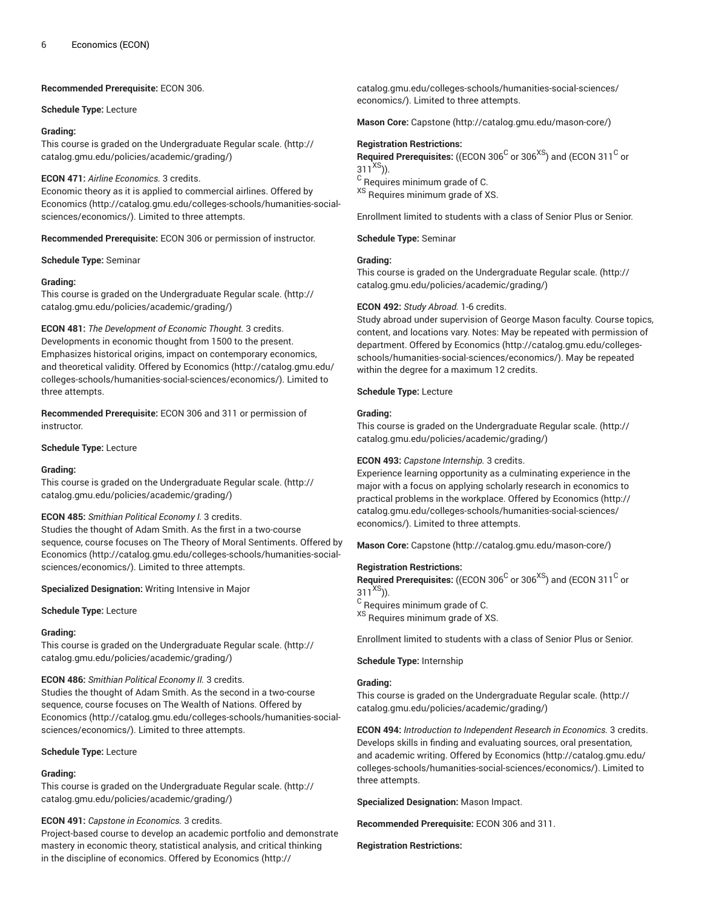# **Recommended Prerequisite:** ECON 306.

# **Schedule Type:** Lecture

# **Grading:**

This course is graded on the [Undergraduate](http://catalog.gmu.edu/policies/academic/grading/) Regular scale. ([http://](http://catalog.gmu.edu/policies/academic/grading/) [catalog.gmu.edu/policies/academic/grading/\)](http://catalog.gmu.edu/policies/academic/grading/)

# **ECON 471:** *Airline Economics.* 3 credits.

Economic theory as it is applied to commercial airlines. Offered by [Economics](http://catalog.gmu.edu/colleges-schools/humanities-social-sciences/economics/) ([http://catalog.gmu.edu/colleges-schools/humanities-social](http://catalog.gmu.edu/colleges-schools/humanities-social-sciences/economics/)[sciences/economics/\)](http://catalog.gmu.edu/colleges-schools/humanities-social-sciences/economics/). Limited to three attempts.

**Recommended Prerequisite:** ECON 306 or permission of instructor.

# **Schedule Type:** Seminar

# **Grading:**

This course is graded on the [Undergraduate](http://catalog.gmu.edu/policies/academic/grading/) Regular scale. ([http://](http://catalog.gmu.edu/policies/academic/grading/) [catalog.gmu.edu/policies/academic/grading/\)](http://catalog.gmu.edu/policies/academic/grading/)

**ECON 481:** *The Development of Economic Thought.* 3 credits.

Developments in economic thought from 1500 to the present. Emphasizes historical origins, impact on contemporary economics, and theoretical validity. Offered by [Economics](http://catalog.gmu.edu/colleges-schools/humanities-social-sciences/economics/) ([http://catalog.gmu.edu/](http://catalog.gmu.edu/colleges-schools/humanities-social-sciences/economics/) [colleges-schools/humanities-social-sciences/economics/\)](http://catalog.gmu.edu/colleges-schools/humanities-social-sciences/economics/). Limited to three attempts.

**Recommended Prerequisite:** ECON 306 and 311 or permission of instructor.

# **Schedule Type:** Lecture

# **Grading:**

This course is graded on the [Undergraduate](http://catalog.gmu.edu/policies/academic/grading/) Regular scale. ([http://](http://catalog.gmu.edu/policies/academic/grading/) [catalog.gmu.edu/policies/academic/grading/\)](http://catalog.gmu.edu/policies/academic/grading/)

# **ECON 485:** *Smithian Political Economy I.* 3 credits.

Studies the thought of Adam Smith. As the first in a two-course sequence, course focuses on The Theory of Moral Sentiments. Offered by [Economics](http://catalog.gmu.edu/colleges-schools/humanities-social-sciences/economics/) ([http://catalog.gmu.edu/colleges-schools/humanities-social](http://catalog.gmu.edu/colleges-schools/humanities-social-sciences/economics/)[sciences/economics/\)](http://catalog.gmu.edu/colleges-schools/humanities-social-sciences/economics/). Limited to three attempts.

**Specialized Designation:** Writing Intensive in Major

# **Schedule Type:** Lecture

# **Grading:**

This course is graded on the [Undergraduate](http://catalog.gmu.edu/policies/academic/grading/) Regular scale. ([http://](http://catalog.gmu.edu/policies/academic/grading/) [catalog.gmu.edu/policies/academic/grading/\)](http://catalog.gmu.edu/policies/academic/grading/)

# **ECON 486:** *Smithian Political Economy II.* 3 credits.

Studies the thought of Adam Smith. As the second in a two-course sequence, course focuses on The Wealth of Nations. Offered by [Economics](http://catalog.gmu.edu/colleges-schools/humanities-social-sciences/economics/) ([http://catalog.gmu.edu/colleges-schools/humanities-social](http://catalog.gmu.edu/colleges-schools/humanities-social-sciences/economics/)[sciences/economics/\)](http://catalog.gmu.edu/colleges-schools/humanities-social-sciences/economics/). Limited to three attempts.

# **Schedule Type:** Lecture

# **Grading:**

This course is graded on the [Undergraduate](http://catalog.gmu.edu/policies/academic/grading/) Regular scale. ([http://](http://catalog.gmu.edu/policies/academic/grading/) [catalog.gmu.edu/policies/academic/grading/\)](http://catalog.gmu.edu/policies/academic/grading/)

# **ECON 491:** *Capstone in Economics.* 3 credits.

Project-based course to develop an academic portfolio and demonstrate mastery in economic theory, statistical analysis, and critical thinking in the discipline of economics. Offered by [Economics](http://catalog.gmu.edu/colleges-schools/humanities-social-sciences/economics/) ([http://](http://catalog.gmu.edu/colleges-schools/humanities-social-sciences/economics/)

[catalog.gmu.edu/colleges-schools/humanities-social-sciences/](http://catalog.gmu.edu/colleges-schools/humanities-social-sciences/economics/) [economics/](http://catalog.gmu.edu/colleges-schools/humanities-social-sciences/economics/)). Limited to three attempts.

**Mason Core:** [Capstone](http://catalog.gmu.edu/mason-core/) ([http://catalog.gmu.edu/mason-core/\)](http://catalog.gmu.edu/mason-core/)

# **Registration Restrictions:**

 $\bf{Required \textit{Prerequisite:}}$  ((ECON 306 $^{\rm C}$  or 306 $^{\rm XS}$ ) and (ECON 311 $^{\rm C}$  or  $311^{XS}$ )).  $^{\rm C}$  Requires minimum grade of C. XS Requires minimum grade of XS.

Enrollment limited to students with a class of Senior Plus or Senior.

**Schedule Type:** Seminar

# **Grading:**

This course is graded on the [Undergraduate](http://catalog.gmu.edu/policies/academic/grading/) Regular scale. ([http://](http://catalog.gmu.edu/policies/academic/grading/) [catalog.gmu.edu/policies/academic/grading/](http://catalog.gmu.edu/policies/academic/grading/))

# **ECON 492:** *Study Abroad.* 1-6 credits.

Study abroad under supervision of George Mason faculty. Course topics, content, and locations vary. Notes: May be repeated with permission of department. Offered by [Economics](http://catalog.gmu.edu/colleges-schools/humanities-social-sciences/economics/) ([http://catalog.gmu.edu/colleges](http://catalog.gmu.edu/colleges-schools/humanities-social-sciences/economics/)[schools/humanities-social-sciences/economics/\)](http://catalog.gmu.edu/colleges-schools/humanities-social-sciences/economics/). May be repeated within the degree for a maximum 12 credits.

# **Schedule Type:** Lecture

# **Grading:**

This course is graded on the [Undergraduate](http://catalog.gmu.edu/policies/academic/grading/) Regular scale. ([http://](http://catalog.gmu.edu/policies/academic/grading/) [catalog.gmu.edu/policies/academic/grading/](http://catalog.gmu.edu/policies/academic/grading/))

# **ECON 493:** *Capstone Internship.* 3 credits.

Experience learning opportunity as a culminating experience in the major with a focus on applying scholarly research in economics to practical problems in the workplace. Offered by [Economics](http://catalog.gmu.edu/colleges-schools/humanities-social-sciences/economics/) ([http://](http://catalog.gmu.edu/colleges-schools/humanities-social-sciences/economics/) [catalog.gmu.edu/colleges-schools/humanities-social-sciences/](http://catalog.gmu.edu/colleges-schools/humanities-social-sciences/economics/) [economics/](http://catalog.gmu.edu/colleges-schools/humanities-social-sciences/economics/)). Limited to three attempts.

**Mason Core:** [Capstone](http://catalog.gmu.edu/mason-core/) ([http://catalog.gmu.edu/mason-core/\)](http://catalog.gmu.edu/mason-core/)

# **Registration Restrictions:**

 $\bf{Required \textit{Prerequisite:}}$  ((ECON 306 $^{\rm C}$  or 306 $^{\rm XS}$ ) and (ECON 311 $^{\rm C}$  or  $311^{XS}$ )).

- $^{\rm C}$  Requires minimum grade of C.
- XS Requires minimum grade of XS.

Enrollment limited to students with a class of Senior Plus or Senior.

**Schedule Type:** Internship

# **Grading:**

This course is graded on the [Undergraduate](http://catalog.gmu.edu/policies/academic/grading/) Regular scale. ([http://](http://catalog.gmu.edu/policies/academic/grading/) [catalog.gmu.edu/policies/academic/grading/](http://catalog.gmu.edu/policies/academic/grading/))

**ECON 494:** *Introduction to Independent Research in Economics.* 3 credits. Develops skills in finding and evaluating sources, oral presentation, and academic writing. Offered by [Economics \(http://catalog.gmu.edu/](http://catalog.gmu.edu/colleges-schools/humanities-social-sciences/economics/) [colleges-schools/humanities-social-sciences/economics/](http://catalog.gmu.edu/colleges-schools/humanities-social-sciences/economics/)). Limited to three attempts.

**Specialized Designation:** Mason Impact.

**Recommended Prerequisite:** ECON 306 and 311.

# **Registration Restrictions:**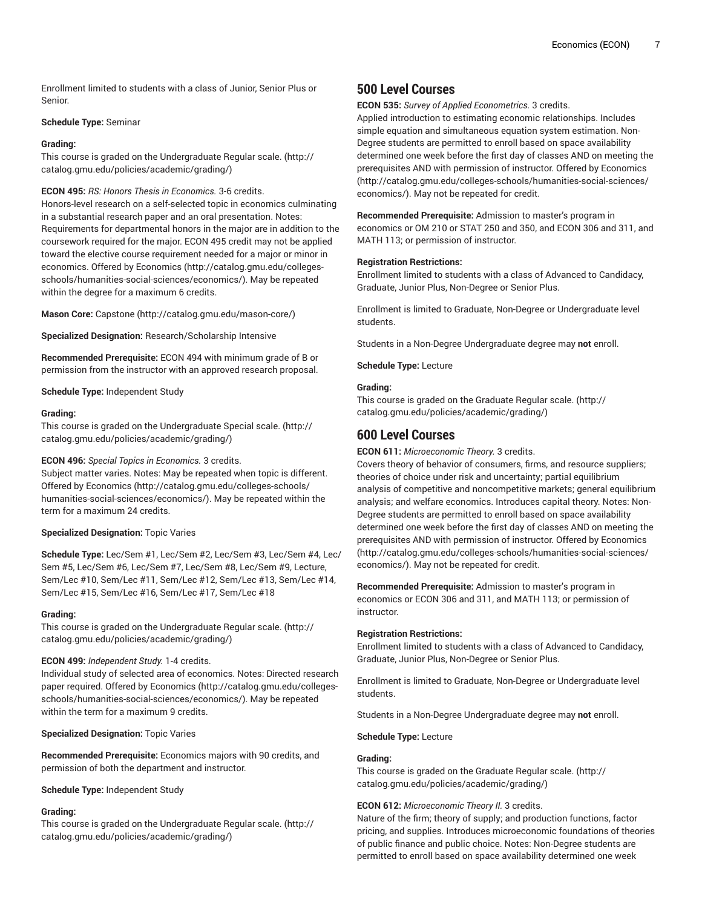Enrollment limited to students with a class of Junior, Senior Plus or Senior.

# **Schedule Type:** Seminar

# **Grading:**

This course is graded on the [Undergraduate](http://catalog.gmu.edu/policies/academic/grading/) Regular scale. ([http://](http://catalog.gmu.edu/policies/academic/grading/) [catalog.gmu.edu/policies/academic/grading/\)](http://catalog.gmu.edu/policies/academic/grading/)

**ECON 495:** *RS: Honors Thesis in Economics.* 3-6 credits.

Honors-level research on a self-selected topic in economics culminating in a substantial research paper and an oral presentation. Notes: Requirements for departmental honors in the major are in addition to the coursework required for the major. ECON 495 credit may not be applied toward the elective course requirement needed for a major or minor in economics. Offered by [Economics \(http://catalog.gmu.edu/colleges](http://catalog.gmu.edu/colleges-schools/humanities-social-sciences/economics/)[schools/humanities-social-sciences/economics/](http://catalog.gmu.edu/colleges-schools/humanities-social-sciences/economics/)). May be repeated within the degree for a maximum 6 credits.

**Mason Core:** [Capstone \(http://catalog.gmu.edu/mason-core/](http://catalog.gmu.edu/mason-core/))

**Specialized Designation:** Research/Scholarship Intensive

**Recommended Prerequisite:** ECON 494 with minimum grade of B or permission from the instructor with an approved research proposal.

**Schedule Type:** Independent Study

# **Grading:**

This course is graded on the [Undergraduate](http://catalog.gmu.edu/policies/academic/grading/) Special scale. [\(http://](http://catalog.gmu.edu/policies/academic/grading/) [catalog.gmu.edu/policies/academic/grading/\)](http://catalog.gmu.edu/policies/academic/grading/)

# **ECON 496:** *Special Topics in Economics.* 3 credits.

Subject matter varies. Notes: May be repeated when topic is different. Offered by [Economics](http://catalog.gmu.edu/colleges-schools/humanities-social-sciences/economics/) ([http://catalog.gmu.edu/colleges-schools/](http://catalog.gmu.edu/colleges-schools/humanities-social-sciences/economics/) [humanities-social-sciences/economics/\)](http://catalog.gmu.edu/colleges-schools/humanities-social-sciences/economics/). May be repeated within the term for a maximum 24 credits.

# **Specialized Designation:** Topic Varies

**Schedule Type:** Lec/Sem #1, Lec/Sem #2, Lec/Sem #3, Lec/Sem #4, Lec/ Sem #5, Lec/Sem #6, Lec/Sem #7, Lec/Sem #8, Lec/Sem #9, Lecture, Sem/Lec #10, Sem/Lec #11, Sem/Lec #12, Sem/Lec #13, Sem/Lec #14, Sem/Lec #15, Sem/Lec #16, Sem/Lec #17, Sem/Lec #18

# **Grading:**

This course is graded on the [Undergraduate](http://catalog.gmu.edu/policies/academic/grading/) Regular scale. ([http://](http://catalog.gmu.edu/policies/academic/grading/) [catalog.gmu.edu/policies/academic/grading/\)](http://catalog.gmu.edu/policies/academic/grading/)

# **ECON 499:** *Independent Study.* 1-4 credits.

Individual study of selected area of economics. Notes: Directed research paper required. Offered by [Economics](http://catalog.gmu.edu/colleges-schools/humanities-social-sciences/economics/) ([http://catalog.gmu.edu/colleges](http://catalog.gmu.edu/colleges-schools/humanities-social-sciences/economics/)[schools/humanities-social-sciences/economics/](http://catalog.gmu.edu/colleges-schools/humanities-social-sciences/economics/)). May be repeated within the term for a maximum 9 credits.

**Specialized Designation:** Topic Varies

**Recommended Prerequisite:** Economics majors with 90 credits, and permission of both the department and instructor.

**Schedule Type:** Independent Study

# **Grading:**

This course is graded on the [Undergraduate](http://catalog.gmu.edu/policies/academic/grading/) Regular scale. ([http://](http://catalog.gmu.edu/policies/academic/grading/) [catalog.gmu.edu/policies/academic/grading/\)](http://catalog.gmu.edu/policies/academic/grading/)

# **500 Level Courses**

**ECON 535:** *Survey of Applied Econometrics.* 3 credits.

Applied introduction to estimating economic relationships. Includes simple equation and simultaneous equation system estimation. Non-Degree students are permitted to enroll based on space availability determined one week before the first day of classes AND on meeting the prerequisites AND with permission of instructor. Offered by [Economics](http://catalog.gmu.edu/colleges-schools/humanities-social-sciences/economics/) [\(http://catalog.gmu.edu/colleges-schools/humanities-social-sciences/](http://catalog.gmu.edu/colleges-schools/humanities-social-sciences/economics/) [economics/](http://catalog.gmu.edu/colleges-schools/humanities-social-sciences/economics/)). May not be repeated for credit.

**Recommended Prerequisite:** Admission to master's program in economics or OM 210 or STAT 250 and 350, and ECON 306 and 311, and MATH 113; or permission of instructor.

# **Registration Restrictions:**

Enrollment limited to students with a class of Advanced to Candidacy, Graduate, Junior Plus, Non-Degree or Senior Plus.

Enrollment is limited to Graduate, Non-Degree or Undergraduate level students.

Students in a Non-Degree Undergraduate degree may **not** enroll.

**Schedule Type:** Lecture

# **Grading:**

This course is graded on the [Graduate Regular scale.](http://catalog.gmu.edu/policies/academic/grading/) ([http://](http://catalog.gmu.edu/policies/academic/grading/) [catalog.gmu.edu/policies/academic/grading/](http://catalog.gmu.edu/policies/academic/grading/))

# **600 Level Courses**

**ECON 611:** *Microeconomic Theory.* 3 credits.

Covers theory of behavior of consumers, firms, and resource suppliers; theories of choice under risk and uncertainty; partial equilibrium analysis of competitive and noncompetitive markets; general equilibrium analysis; and welfare economics. Introduces capital theory. Notes: Non-Degree students are permitted to enroll based on space availability determined one week before the first day of classes AND on meeting the prerequisites AND with permission of instructor. Offered by [Economics](http://catalog.gmu.edu/colleges-schools/humanities-social-sciences/economics/) [\(http://catalog.gmu.edu/colleges-schools/humanities-social-sciences/](http://catalog.gmu.edu/colleges-schools/humanities-social-sciences/economics/) [economics/](http://catalog.gmu.edu/colleges-schools/humanities-social-sciences/economics/)). May not be repeated for credit.

**Recommended Prerequisite:** Admission to master's program in economics or ECON 306 and 311, and MATH 113; or permission of instructor.

# **Registration Restrictions:**

Enrollment limited to students with a class of Advanced to Candidacy, Graduate, Junior Plus, Non-Degree or Senior Plus.

Enrollment is limited to Graduate, Non-Degree or Undergraduate level students.

Students in a Non-Degree Undergraduate degree may **not** enroll.

**Schedule Type:** Lecture

# **Grading:**

This course is graded on the [Graduate Regular scale.](http://catalog.gmu.edu/policies/academic/grading/) ([http://](http://catalog.gmu.edu/policies/academic/grading/) [catalog.gmu.edu/policies/academic/grading/](http://catalog.gmu.edu/policies/academic/grading/))

# **ECON 612:** *Microeconomic Theory II.* 3 credits.

Nature of the firm; theory of supply; and production functions, factor pricing, and supplies. Introduces microeconomic foundations of theories of public finance and public choice. Notes: Non-Degree students are permitted to enroll based on space availability determined one week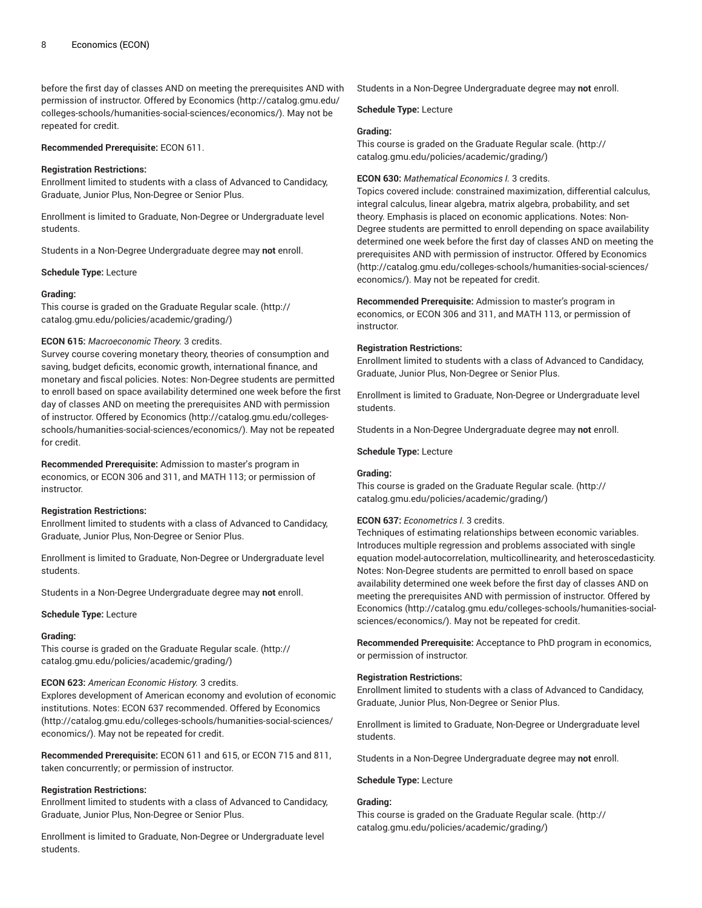before the first day of classes AND on meeting the prerequisites AND with permission of instructor. Offered by [Economics \(http://catalog.gmu.edu/](http://catalog.gmu.edu/colleges-schools/humanities-social-sciences/economics/) [colleges-schools/humanities-social-sciences/economics/\)](http://catalog.gmu.edu/colleges-schools/humanities-social-sciences/economics/). May not be repeated for credit.

**Recommended Prerequisite:** ECON 611.

### **Registration Restrictions:**

Enrollment limited to students with a class of Advanced to Candidacy, Graduate, Junior Plus, Non-Degree or Senior Plus.

Enrollment is limited to Graduate, Non-Degree or Undergraduate level students.

Students in a Non-Degree Undergraduate degree may **not** enroll.

**Schedule Type:** Lecture

#### **Grading:**

This course is graded on the [Graduate Regular scale.](http://catalog.gmu.edu/policies/academic/grading/) [\(http://](http://catalog.gmu.edu/policies/academic/grading/) [catalog.gmu.edu/policies/academic/grading/\)](http://catalog.gmu.edu/policies/academic/grading/)

# **ECON 615:** *Macroeconomic Theory.* 3 credits.

Survey course covering monetary theory, theories of consumption and saving, budget deficits, economic growth, international finance, and monetary and fiscal policies. Notes: Non-Degree students are permitted to enroll based on space availability determined one week before the first day of classes AND on meeting the prerequisites AND with permission of instructor. Offered by [Economics \(http://catalog.gmu.edu/colleges](http://catalog.gmu.edu/colleges-schools/humanities-social-sciences/economics/)[schools/humanities-social-sciences/economics/](http://catalog.gmu.edu/colleges-schools/humanities-social-sciences/economics/)). May not be repeated for credit.

**Recommended Prerequisite:** Admission to master's program in economics, or ECON 306 and 311, and MATH 113; or permission of instructor.

# **Registration Restrictions:**

Enrollment limited to students with a class of Advanced to Candidacy, Graduate, Junior Plus, Non-Degree or Senior Plus.

Enrollment is limited to Graduate, Non-Degree or Undergraduate level students.

Students in a Non-Degree Undergraduate degree may **not** enroll.

#### **Schedule Type:** Lecture

#### **Grading:**

This course is graded on the [Graduate Regular scale.](http://catalog.gmu.edu/policies/academic/grading/) [\(http://](http://catalog.gmu.edu/policies/academic/grading/) [catalog.gmu.edu/policies/academic/grading/\)](http://catalog.gmu.edu/policies/academic/grading/)

# **ECON 623:** *American Economic History.* 3 credits.

Explores development of American economy and evolution of economic institutions. Notes: ECON 637 recommended. Offered by [Economics](http://catalog.gmu.edu/colleges-schools/humanities-social-sciences/economics/) ([http://catalog.gmu.edu/colleges-schools/humanities-social-sciences/](http://catalog.gmu.edu/colleges-schools/humanities-social-sciences/economics/) [economics/\)](http://catalog.gmu.edu/colleges-schools/humanities-social-sciences/economics/). May not be repeated for credit.

**Recommended Prerequisite:** ECON 611 and 615, or ECON 715 and 811, taken concurrently; or permission of instructor.

# **Registration Restrictions:**

Enrollment limited to students with a class of Advanced to Candidacy, Graduate, Junior Plus, Non-Degree or Senior Plus.

Enrollment is limited to Graduate, Non-Degree or Undergraduate level students.

Students in a Non-Degree Undergraduate degree may **not** enroll.

**Schedule Type:** Lecture

# **Grading:**

This course is graded on the [Graduate Regular scale.](http://catalog.gmu.edu/policies/academic/grading/) ([http://](http://catalog.gmu.edu/policies/academic/grading/) [catalog.gmu.edu/policies/academic/grading/](http://catalog.gmu.edu/policies/academic/grading/))

# **ECON 630:** *Mathematical Economics I.* 3 credits.

Topics covered include: constrained maximization, differential calculus, integral calculus, linear algebra, matrix algebra, probability, and set theory. Emphasis is placed on economic applications. Notes: Non-Degree students are permitted to enroll depending on space availability determined one week before the first day of classes AND on meeting the prerequisites AND with permission of instructor. Offered by [Economics](http://catalog.gmu.edu/colleges-schools/humanities-social-sciences/economics/) [\(http://catalog.gmu.edu/colleges-schools/humanities-social-sciences/](http://catalog.gmu.edu/colleges-schools/humanities-social-sciences/economics/) [economics/](http://catalog.gmu.edu/colleges-schools/humanities-social-sciences/economics/)). May not be repeated for credit.

# **Recommended Prerequisite:** Admission to master's program in

economics, or ECON 306 and 311, and MATH 113, or permission of instructor.

#### **Registration Restrictions:**

Enrollment limited to students with a class of Advanced to Candidacy, Graduate, Junior Plus, Non-Degree or Senior Plus.

Enrollment is limited to Graduate, Non-Degree or Undergraduate level students.

Students in a Non-Degree Undergraduate degree may **not** enroll.

**Schedule Type:** Lecture

# **Grading:**

This course is graded on the [Graduate Regular scale.](http://catalog.gmu.edu/policies/academic/grading/) ([http://](http://catalog.gmu.edu/policies/academic/grading/) [catalog.gmu.edu/policies/academic/grading/](http://catalog.gmu.edu/policies/academic/grading/))

# **ECON 637:** *Econometrics I.* 3 credits.

Techniques of estimating relationships between economic variables. Introduces multiple regression and problems associated with single equation model-autocorrelation, multicollinearity, and heteroscedasticity. Notes: Non-Degree students are permitted to enroll based on space availability determined one week before the first day of classes AND on meeting the prerequisites AND with permission of instructor. Offered by [Economics](http://catalog.gmu.edu/colleges-schools/humanities-social-sciences/economics/) ([http://catalog.gmu.edu/colleges-schools/humanities-social](http://catalog.gmu.edu/colleges-schools/humanities-social-sciences/economics/)[sciences/economics/](http://catalog.gmu.edu/colleges-schools/humanities-social-sciences/economics/)). May not be repeated for credit.

**Recommended Prerequisite:** Acceptance to PhD program in economics, or permission of instructor.

# **Registration Restrictions:**

Enrollment limited to students with a class of Advanced to Candidacy, Graduate, Junior Plus, Non-Degree or Senior Plus.

Enrollment is limited to Graduate, Non-Degree or Undergraduate level students.

Students in a Non-Degree Undergraduate degree may **not** enroll.

#### **Schedule Type:** Lecture

# **Grading:**

This course is graded on the [Graduate Regular scale.](http://catalog.gmu.edu/policies/academic/grading/) ([http://](http://catalog.gmu.edu/policies/academic/grading/) [catalog.gmu.edu/policies/academic/grading/](http://catalog.gmu.edu/policies/academic/grading/))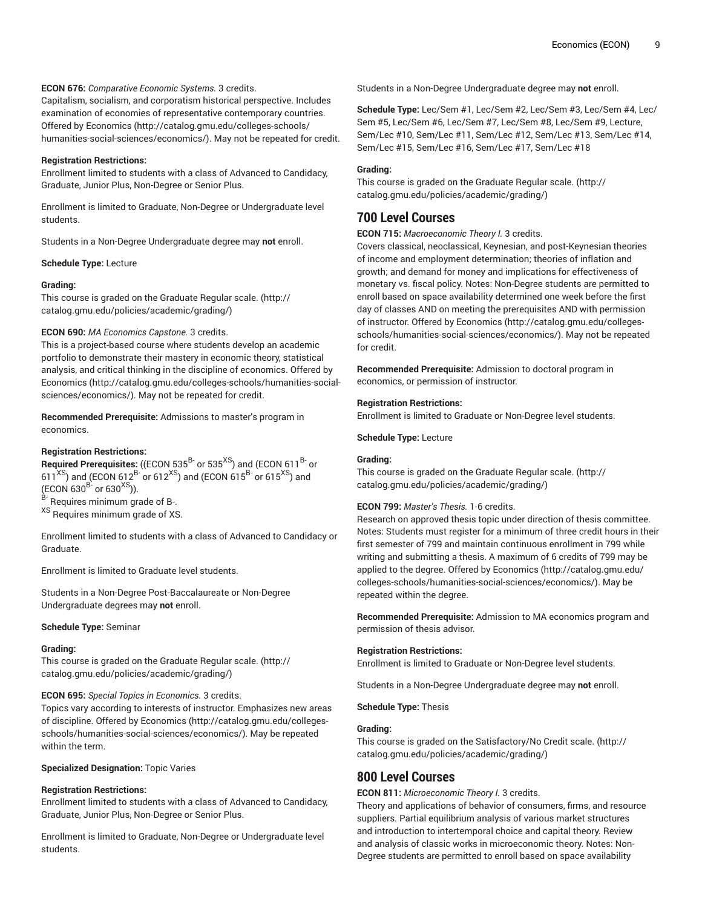# **ECON 676:** *Comparative Economic Systems.* 3 credits.

Capitalism, socialism, and corporatism historical perspective. Includes examination of economies of representative contemporary countries. Offered by [Economics](http://catalog.gmu.edu/colleges-schools/humanities-social-sciences/economics/) ([http://catalog.gmu.edu/colleges-schools/](http://catalog.gmu.edu/colleges-schools/humanities-social-sciences/economics/) [humanities-social-sciences/economics/\)](http://catalog.gmu.edu/colleges-schools/humanities-social-sciences/economics/). May not be repeated for credit.

# **Registration Restrictions:**

Enrollment limited to students with a class of Advanced to Candidacy, Graduate, Junior Plus, Non-Degree or Senior Plus.

Enrollment is limited to Graduate, Non-Degree or Undergraduate level students.

Students in a Non-Degree Undergraduate degree may **not** enroll.

# **Schedule Type:** Lecture

# **Grading:**

This course is graded on the [Graduate Regular scale.](http://catalog.gmu.edu/policies/academic/grading/) [\(http://](http://catalog.gmu.edu/policies/academic/grading/) [catalog.gmu.edu/policies/academic/grading/\)](http://catalog.gmu.edu/policies/academic/grading/)

# **ECON 690:** *MA Economics Capstone.* 3 credits.

This is a project-based course where students develop an academic portfolio to demonstrate their mastery in economic theory, statistical analysis, and critical thinking in the discipline of economics. Offered by [Economics](http://catalog.gmu.edu/colleges-schools/humanities-social-sciences/economics/) ([http://catalog.gmu.edu/colleges-schools/humanities-social](http://catalog.gmu.edu/colleges-schools/humanities-social-sciences/economics/)[sciences/economics/\)](http://catalog.gmu.edu/colleges-schools/humanities-social-sciences/economics/). May not be repeated for credit.

**Recommended Prerequisite:** Admissions to master's program in economics.

# **Registration Restrictions:**

**Required Prerequisites:** ((ECON 535<sup>B-</sup> or 535<sup>XS</sup>) and (ECON 611<sup>B-</sup> or 611<sup>XS</sup>) and (ECON 612<sup>B-</sup> or 612<sup>XS</sup>) and (ECON 615<sup>B-</sup> or 615<sup>XS</sup>) and  $(ECON 630^{B-}$  or 630<sup>XS</sup>)). <sup>B-</sup> Requires minimum grade of B-.

<sup>XS</sup> Requires minimum grade of XS.

Enrollment limited to students with a class of Advanced to Candidacy or Graduate.

Enrollment is limited to Graduate level students.

Students in a Non-Degree Post-Baccalaureate or Non-Degree Undergraduate degrees may **not** enroll.

**Schedule Type:** Seminar

# **Grading:**

This course is graded on the [Graduate Regular scale.](http://catalog.gmu.edu/policies/academic/grading/) [\(http://](http://catalog.gmu.edu/policies/academic/grading/) [catalog.gmu.edu/policies/academic/grading/\)](http://catalog.gmu.edu/policies/academic/grading/)

# **ECON 695:** *Special Topics in Economics.* 3 credits.

Topics vary according to interests of instructor. Emphasizes new areas of discipline. Offered by [Economics \(http://catalog.gmu.edu/colleges](http://catalog.gmu.edu/colleges-schools/humanities-social-sciences/economics/)[schools/humanities-social-sciences/economics/](http://catalog.gmu.edu/colleges-schools/humanities-social-sciences/economics/)). May be repeated within the term.

# **Specialized Designation:** Topic Varies

# **Registration Restrictions:**

Enrollment limited to students with a class of Advanced to Candidacy, Graduate, Junior Plus, Non-Degree or Senior Plus.

Enrollment is limited to Graduate, Non-Degree or Undergraduate level students.

Students in a Non-Degree Undergraduate degree may **not** enroll.

**Schedule Type:** Lec/Sem #1, Lec/Sem #2, Lec/Sem #3, Lec/Sem #4, Lec/ Sem #5, Lec/Sem #6, Lec/Sem #7, Lec/Sem #8, Lec/Sem #9, Lecture, Sem/Lec #10, Sem/Lec #11, Sem/Lec #12, Sem/Lec #13, Sem/Lec #14, Sem/Lec #15, Sem/Lec #16, Sem/Lec #17, Sem/Lec #18

# **Grading:**

This course is graded on the [Graduate Regular scale.](http://catalog.gmu.edu/policies/academic/grading/) ([http://](http://catalog.gmu.edu/policies/academic/grading/) [catalog.gmu.edu/policies/academic/grading/](http://catalog.gmu.edu/policies/academic/grading/))

# **700 Level Courses**

# **ECON 715:** *Macroeconomic Theory I.* 3 credits.

Covers classical, neoclassical, Keynesian, and post-Keynesian theories of income and employment determination; theories of inflation and growth; and demand for money and implications for effectiveness of monetary vs. fiscal policy. Notes: Non-Degree students are permitted to enroll based on space availability determined one week before the first day of classes AND on meeting the prerequisites AND with permission of instructor. Offered by [Economics](http://catalog.gmu.edu/colleges-schools/humanities-social-sciences/economics/) ([http://catalog.gmu.edu/colleges](http://catalog.gmu.edu/colleges-schools/humanities-social-sciences/economics/)[schools/humanities-social-sciences/economics/\)](http://catalog.gmu.edu/colleges-schools/humanities-social-sciences/economics/). May not be repeated for credit.

**Recommended Prerequisite:** Admission to doctoral program in economics, or permission of instructor.

# **Registration Restrictions:**

Enrollment is limited to Graduate or Non-Degree level students.

**Schedule Type:** Lecture

# **Grading:**

This course is graded on the [Graduate Regular scale.](http://catalog.gmu.edu/policies/academic/grading/) ([http://](http://catalog.gmu.edu/policies/academic/grading/) [catalog.gmu.edu/policies/academic/grading/](http://catalog.gmu.edu/policies/academic/grading/))

# **ECON 799:** *Master's Thesis.* 1-6 credits.

Research on approved thesis topic under direction of thesis committee. Notes: Students must register for a minimum of three credit hours in their first semester of 799 and maintain continuous enrollment in 799 while writing and submitting a thesis. A maximum of 6 credits of 799 may be applied to the degree. Offered by [Economics](http://catalog.gmu.edu/colleges-schools/humanities-social-sciences/economics/) ([http://catalog.gmu.edu/](http://catalog.gmu.edu/colleges-schools/humanities-social-sciences/economics/) [colleges-schools/humanities-social-sciences/economics/](http://catalog.gmu.edu/colleges-schools/humanities-social-sciences/economics/)). May be repeated within the degree.

**Recommended Prerequisite:** Admission to MA economics program and permission of thesis advisor.

# **Registration Restrictions:**

Enrollment is limited to Graduate or Non-Degree level students.

Students in a Non-Degree Undergraduate degree may **not** enroll.

**Schedule Type:** Thesis

# **Grading:**

This course is graded on the [Satisfactory/No](http://catalog.gmu.edu/policies/academic/grading/) Credit scale. [\(http://](http://catalog.gmu.edu/policies/academic/grading/) [catalog.gmu.edu/policies/academic/grading/](http://catalog.gmu.edu/policies/academic/grading/))

# **800 Level Courses**

**ECON 811:** *Microeconomic Theory I.* 3 credits.

Theory and applications of behavior of consumers, firms, and resource suppliers. Partial equilibrium analysis of various market structures and introduction to intertemporal choice and capital theory. Review and analysis of classic works in microeconomic theory. Notes: Non-Degree students are permitted to enroll based on space availability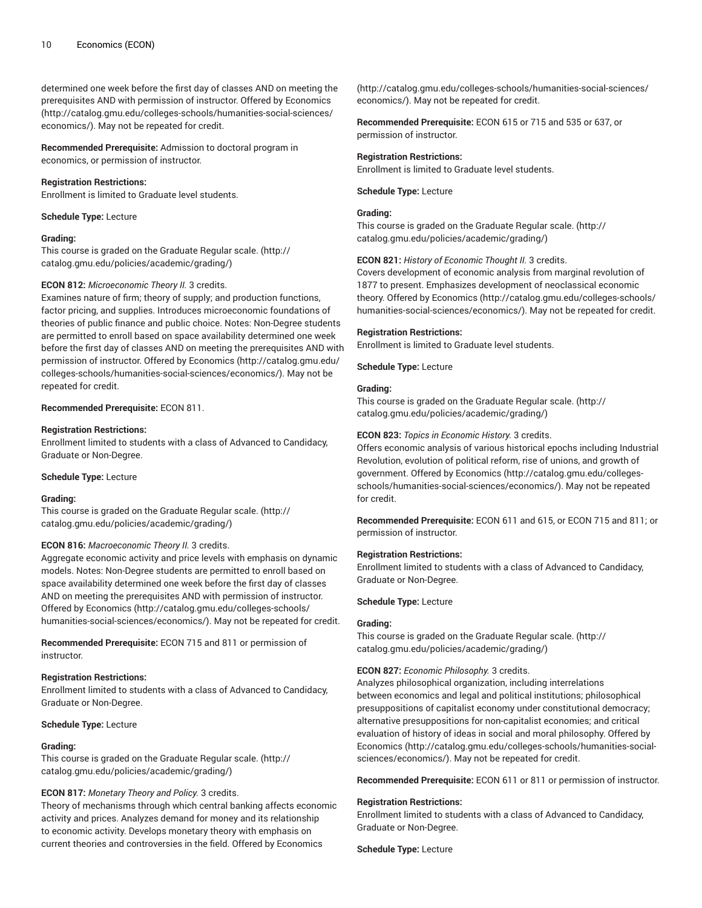determined one week before the first day of classes AND on meeting the prerequisites AND with permission of instructor. Offered by [Economics](http://catalog.gmu.edu/colleges-schools/humanities-social-sciences/economics/) ([http://catalog.gmu.edu/colleges-schools/humanities-social-sciences/](http://catalog.gmu.edu/colleges-schools/humanities-social-sciences/economics/) [economics/\)](http://catalog.gmu.edu/colleges-schools/humanities-social-sciences/economics/). May not be repeated for credit.

**Recommended Prerequisite:** Admission to doctoral program in economics, or permission of instructor.

#### **Registration Restrictions:**

Enrollment is limited to Graduate level students.

**Schedule Type:** Lecture

#### **Grading:**

This course is graded on the [Graduate Regular scale.](http://catalog.gmu.edu/policies/academic/grading/) [\(http://](http://catalog.gmu.edu/policies/academic/grading/) [catalog.gmu.edu/policies/academic/grading/\)](http://catalog.gmu.edu/policies/academic/grading/)

# **ECON 812:** *Microeconomic Theory II.* 3 credits.

Examines nature of firm; theory of supply; and production functions, factor pricing, and supplies. Introduces microeconomic foundations of theories of public finance and public choice. Notes: Non-Degree students are permitted to enroll based on space availability determined one week before the first day of classes AND on meeting the prerequisites AND with permission of instructor. Offered by [Economics \(http://catalog.gmu.edu/](http://catalog.gmu.edu/colleges-schools/humanities-social-sciences/economics/) [colleges-schools/humanities-social-sciences/economics/\)](http://catalog.gmu.edu/colleges-schools/humanities-social-sciences/economics/). May not be repeated for credit.

#### **Recommended Prerequisite:** ECON 811.

#### **Registration Restrictions:**

Enrollment limited to students with a class of Advanced to Candidacy, Graduate or Non-Degree.

#### **Schedule Type:** Lecture

#### **Grading:**

This course is graded on the [Graduate Regular scale.](http://catalog.gmu.edu/policies/academic/grading/) [\(http://](http://catalog.gmu.edu/policies/academic/grading/) [catalog.gmu.edu/policies/academic/grading/\)](http://catalog.gmu.edu/policies/academic/grading/)

# **ECON 816:** *Macroeconomic Theory II.* 3 credits.

Aggregate economic activity and price levels with emphasis on dynamic models. Notes: Non-Degree students are permitted to enroll based on space availability determined one week before the first day of classes AND on meeting the prerequisites AND with permission of instructor. Offered by [Economics](http://catalog.gmu.edu/colleges-schools/humanities-social-sciences/economics/) ([http://catalog.gmu.edu/colleges-schools/](http://catalog.gmu.edu/colleges-schools/humanities-social-sciences/economics/) [humanities-social-sciences/economics/\)](http://catalog.gmu.edu/colleges-schools/humanities-social-sciences/economics/). May not be repeated for credit.

**Recommended Prerequisite:** ECON 715 and 811 or permission of instructor.

# **Registration Restrictions:**

Enrollment limited to students with a class of Advanced to Candidacy, Graduate or Non-Degree.

**Schedule Type:** Lecture

#### **Grading:**

This course is graded on the [Graduate Regular scale.](http://catalog.gmu.edu/policies/academic/grading/) [\(http://](http://catalog.gmu.edu/policies/academic/grading/) [catalog.gmu.edu/policies/academic/grading/\)](http://catalog.gmu.edu/policies/academic/grading/)

# **ECON 817:** *Monetary Theory and Policy.* 3 credits.

Theory of mechanisms through which central banking affects economic activity and prices. Analyzes demand for money and its relationship to economic activity. Develops monetary theory with emphasis on current theories and controversies in the field. Offered by [Economics](http://catalog.gmu.edu/colleges-schools/humanities-social-sciences/economics/)

[\(http://catalog.gmu.edu/colleges-schools/humanities-social-sciences/](http://catalog.gmu.edu/colleges-schools/humanities-social-sciences/economics/) [economics/](http://catalog.gmu.edu/colleges-schools/humanities-social-sciences/economics/)). May not be repeated for credit.

**Recommended Prerequisite:** ECON 615 or 715 and 535 or 637, or permission of instructor.

#### **Registration Restrictions:**

Enrollment is limited to Graduate level students.

**Schedule Type:** Lecture

# **Grading:**

This course is graded on the [Graduate Regular scale.](http://catalog.gmu.edu/policies/academic/grading/) ([http://](http://catalog.gmu.edu/policies/academic/grading/) [catalog.gmu.edu/policies/academic/grading/](http://catalog.gmu.edu/policies/academic/grading/))

#### **ECON 821:** *History of Economic Thought II.* 3 credits.

Covers development of economic analysis from marginal revolution of 1877 to present. Emphasizes development of neoclassical economic theory. Offered by [Economics \(http://catalog.gmu.edu/colleges-schools/](http://catalog.gmu.edu/colleges-schools/humanities-social-sciences/economics/) [humanities-social-sciences/economics/](http://catalog.gmu.edu/colleges-schools/humanities-social-sciences/economics/)). May not be repeated for credit.

#### **Registration Restrictions:**

Enrollment is limited to Graduate level students.

**Schedule Type:** Lecture

# **Grading:**

This course is graded on the [Graduate Regular scale.](http://catalog.gmu.edu/policies/academic/grading/) ([http://](http://catalog.gmu.edu/policies/academic/grading/) [catalog.gmu.edu/policies/academic/grading/](http://catalog.gmu.edu/policies/academic/grading/))

#### **ECON 823:** *Topics in Economic History.* 3 credits.

Offers economic analysis of various historical epochs including Industrial Revolution, evolution of political reform, rise of unions, and growth of government. Offered by [Economics](http://catalog.gmu.edu/colleges-schools/humanities-social-sciences/economics/) [\(http://catalog.gmu.edu/colleges](http://catalog.gmu.edu/colleges-schools/humanities-social-sciences/economics/)[schools/humanities-social-sciences/economics/\)](http://catalog.gmu.edu/colleges-schools/humanities-social-sciences/economics/). May not be repeated for credit.

**Recommended Prerequisite:** ECON 611 and 615, or ECON 715 and 811; or permission of instructor.

#### **Registration Restrictions:**

Enrollment limited to students with a class of Advanced to Candidacy, Graduate or Non-Degree.

**Schedule Type:** Lecture

# **Grading:**

This course is graded on the [Graduate Regular scale.](http://catalog.gmu.edu/policies/academic/grading/) ([http://](http://catalog.gmu.edu/policies/academic/grading/) [catalog.gmu.edu/policies/academic/grading/](http://catalog.gmu.edu/policies/academic/grading/))

#### **ECON 827:** *Economic Philosophy.* 3 credits.

Analyzes philosophical organization, including interrelations between economics and legal and political institutions; philosophical presuppositions of capitalist economy under constitutional democracy; alternative presuppositions for non-capitalist economies; and critical evaluation of history of ideas in social and moral philosophy. Offered by [Economics](http://catalog.gmu.edu/colleges-schools/humanities-social-sciences/economics/) ([http://catalog.gmu.edu/colleges-schools/humanities-social](http://catalog.gmu.edu/colleges-schools/humanities-social-sciences/economics/)[sciences/economics/](http://catalog.gmu.edu/colleges-schools/humanities-social-sciences/economics/)). May not be repeated for credit.

**Recommended Prerequisite:** ECON 611 or 811 or permission of instructor.

#### **Registration Restrictions:**

Enrollment limited to students with a class of Advanced to Candidacy, Graduate or Non-Degree.

**Schedule Type:** Lecture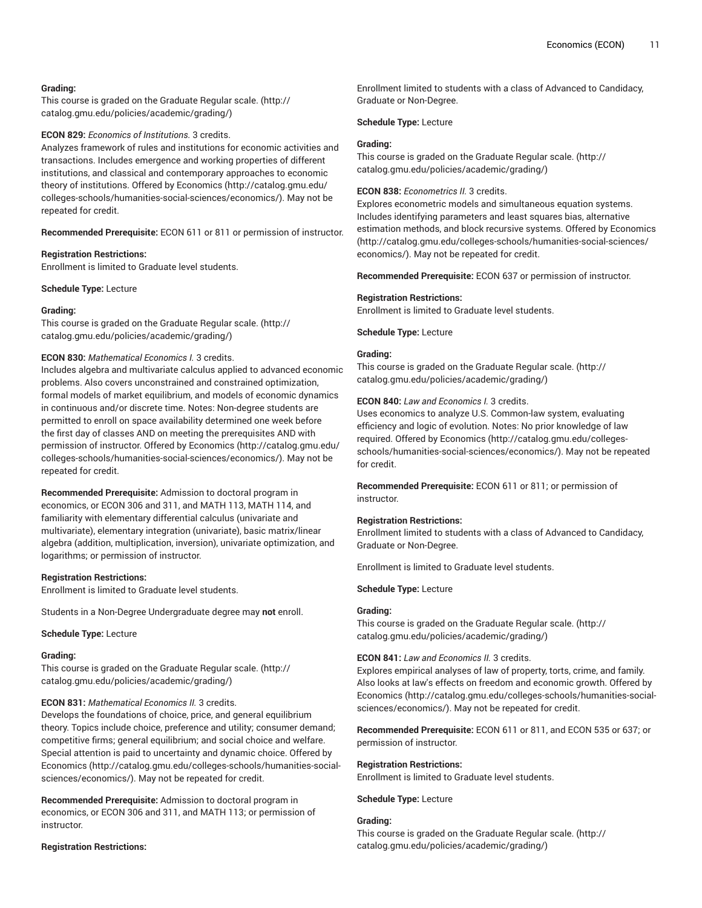# **Grading:**

This course is graded on the [Graduate Regular scale.](http://catalog.gmu.edu/policies/academic/grading/) [\(http://](http://catalog.gmu.edu/policies/academic/grading/) [catalog.gmu.edu/policies/academic/grading/\)](http://catalog.gmu.edu/policies/academic/grading/)

# **ECON 829:** *Economics of Institutions.* 3 credits.

Analyzes framework of rules and institutions for economic activities and transactions. Includes emergence and working properties of different institutions, and classical and contemporary approaches to economic theory of institutions. Offered by [Economics](http://catalog.gmu.edu/colleges-schools/humanities-social-sciences/economics/) ([http://catalog.gmu.edu/](http://catalog.gmu.edu/colleges-schools/humanities-social-sciences/economics/) [colleges-schools/humanities-social-sciences/economics/\)](http://catalog.gmu.edu/colleges-schools/humanities-social-sciences/economics/). May not be repeated for credit.

**Recommended Prerequisite:** ECON 611 or 811 or permission of instructor.

# **Registration Restrictions:**

Enrollment is limited to Graduate level students.

**Schedule Type:** Lecture

# **Grading:**

This course is graded on the [Graduate Regular scale.](http://catalog.gmu.edu/policies/academic/grading/) [\(http://](http://catalog.gmu.edu/policies/academic/grading/) [catalog.gmu.edu/policies/academic/grading/\)](http://catalog.gmu.edu/policies/academic/grading/)

# **ECON 830:** *Mathematical Economics I.* 3 credits.

Includes algebra and multivariate calculus applied to advanced economic problems. Also covers unconstrained and constrained optimization, formal models of market equilibrium, and models of economic dynamics in continuous and/or discrete time. Notes: Non-degree students are permitted to enroll on space availability determined one week before the first day of classes AND on meeting the prerequisites AND with permission of instructor. Offered by [Economics \(http://catalog.gmu.edu/](http://catalog.gmu.edu/colleges-schools/humanities-social-sciences/economics/) [colleges-schools/humanities-social-sciences/economics/\)](http://catalog.gmu.edu/colleges-schools/humanities-social-sciences/economics/). May not be repeated for credit.

**Recommended Prerequisite:** Admission to doctoral program in economics, or ECON 306 and 311, and MATH 113, MATH 114, and familiarity with elementary differential calculus (univariate and multivariate), elementary integration (univariate), basic matrix/linear algebra (addition, multiplication, inversion), univariate optimization, and logarithms; or permission of instructor.

# **Registration Restrictions:**

Enrollment is limited to Graduate level students.

Students in a Non-Degree Undergraduate degree may **not** enroll.

# **Schedule Type:** Lecture

# **Grading:**

This course is graded on the [Graduate Regular scale.](http://catalog.gmu.edu/policies/academic/grading/) [\(http://](http://catalog.gmu.edu/policies/academic/grading/) [catalog.gmu.edu/policies/academic/grading/\)](http://catalog.gmu.edu/policies/academic/grading/)

# **ECON 831:** *Mathematical Economics II.* 3 credits.

Develops the foundations of choice, price, and general equilibrium theory. Topics include choice, preference and utility; consumer demand; competitive firms; general equilibrium; and social choice and welfare. Special attention is paid to uncertainty and dynamic choice. Offered by [Economics](http://catalog.gmu.edu/colleges-schools/humanities-social-sciences/economics/) ([http://catalog.gmu.edu/colleges-schools/humanities-social](http://catalog.gmu.edu/colleges-schools/humanities-social-sciences/economics/)[sciences/economics/\)](http://catalog.gmu.edu/colleges-schools/humanities-social-sciences/economics/). May not be repeated for credit.

**Recommended Prerequisite:** Admission to doctoral program in economics, or ECON 306 and 311, and MATH 113; or permission of instructor.

# **Registration Restrictions:**

Enrollment limited to students with a class of Advanced to Candidacy, Graduate or Non-Degree.

**Schedule Type:** Lecture

# **Grading:**

This course is graded on the [Graduate Regular scale.](http://catalog.gmu.edu/policies/academic/grading/) ([http://](http://catalog.gmu.edu/policies/academic/grading/) [catalog.gmu.edu/policies/academic/grading/](http://catalog.gmu.edu/policies/academic/grading/))

# **ECON 838:** *Econometrics II.* 3 credits.

Explores econometric models and simultaneous equation systems. Includes identifying parameters and least squares bias, alternative estimation methods, and block recursive systems. Offered by [Economics](http://catalog.gmu.edu/colleges-schools/humanities-social-sciences/economics/) [\(http://catalog.gmu.edu/colleges-schools/humanities-social-sciences/](http://catalog.gmu.edu/colleges-schools/humanities-social-sciences/economics/) [economics/](http://catalog.gmu.edu/colleges-schools/humanities-social-sciences/economics/)). May not be repeated for credit.

**Recommended Prerequisite:** ECON 637 or permission of instructor.

# **Registration Restrictions:**

Enrollment is limited to Graduate level students.

**Schedule Type:** Lecture

# **Grading:**

This course is graded on the [Graduate Regular scale.](http://catalog.gmu.edu/policies/academic/grading/) ([http://](http://catalog.gmu.edu/policies/academic/grading/) [catalog.gmu.edu/policies/academic/grading/](http://catalog.gmu.edu/policies/academic/grading/))

# **ECON 840:** *Law and Economics I.* 3 credits.

Uses economics to analyze U.S. Common-law system, evaluating efficiency and logic of evolution. Notes: No prior knowledge of law required. Offered by [Economics \(http://catalog.gmu.edu/colleges](http://catalog.gmu.edu/colleges-schools/humanities-social-sciences/economics/)[schools/humanities-social-sciences/economics/\)](http://catalog.gmu.edu/colleges-schools/humanities-social-sciences/economics/). May not be repeated for credit.

**Recommended Prerequisite:** ECON 611 or 811; or permission of instructor.

# **Registration Restrictions:**

Enrollment limited to students with a class of Advanced to Candidacy, Graduate or Non-Degree.

Enrollment is limited to Graduate level students.

**Schedule Type:** Lecture

# **Grading:**

This course is graded on the [Graduate Regular scale.](http://catalog.gmu.edu/policies/academic/grading/) ([http://](http://catalog.gmu.edu/policies/academic/grading/) [catalog.gmu.edu/policies/academic/grading/](http://catalog.gmu.edu/policies/academic/grading/))

# **ECON 841:** *Law and Economics II.* 3 credits.

Explores empirical analyses of law of property, torts, crime, and family. Also looks at law's effects on freedom and economic growth. Offered by [Economics](http://catalog.gmu.edu/colleges-schools/humanities-social-sciences/economics/) ([http://catalog.gmu.edu/colleges-schools/humanities-social](http://catalog.gmu.edu/colleges-schools/humanities-social-sciences/economics/)[sciences/economics/](http://catalog.gmu.edu/colleges-schools/humanities-social-sciences/economics/)). May not be repeated for credit.

**Recommended Prerequisite:** ECON 611 or 811, and ECON 535 or 637; or permission of instructor.

# **Registration Restrictions:**

Enrollment is limited to Graduate level students.

**Schedule Type:** Lecture

# **Grading:**

This course is graded on the [Graduate Regular scale.](http://catalog.gmu.edu/policies/academic/grading/) ([http://](http://catalog.gmu.edu/policies/academic/grading/) [catalog.gmu.edu/policies/academic/grading/](http://catalog.gmu.edu/policies/academic/grading/))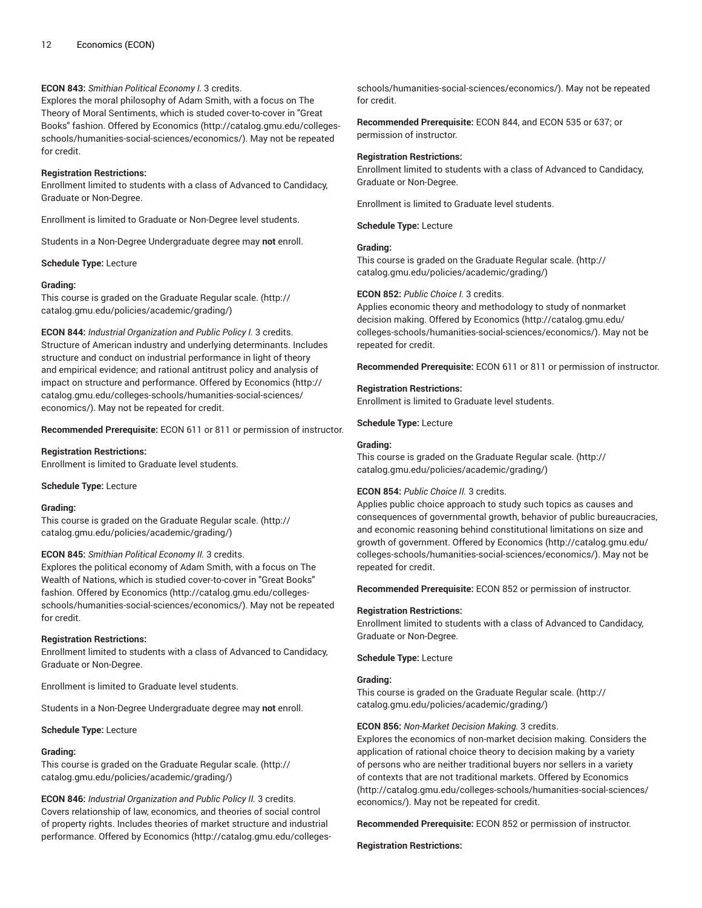# **ECON 843:** *Smithian Political Economy I.* 3 credits.

Explores the moral philosophy of Adam Smith, with a focus on The Theory of Moral Sentiments, which is studed cover-to-cover in "Great Books" fashion. Offered by [Economics](http://catalog.gmu.edu/colleges-schools/humanities-social-sciences/economics/) ([http://catalog.gmu.edu/colleges](http://catalog.gmu.edu/colleges-schools/humanities-social-sciences/economics/)[schools/humanities-social-sciences/economics/](http://catalog.gmu.edu/colleges-schools/humanities-social-sciences/economics/)). May not be repeated for credit.

# **Registration Restrictions:**

Enrollment limited to students with a class of Advanced to Candidacy, Graduate or Non-Degree.

Enrollment is limited to Graduate or Non-Degree level students.

Students in a Non-Degree Undergraduate degree may **not** enroll.

# **Schedule Type:** Lecture

# **Grading:**

This course is graded on the [Graduate Regular scale.](http://catalog.gmu.edu/policies/academic/grading/) [\(http://](http://catalog.gmu.edu/policies/academic/grading/) [catalog.gmu.edu/policies/academic/grading/\)](http://catalog.gmu.edu/policies/academic/grading/)

**ECON 844:** *Industrial Organization and Public Policy I.* 3 credits. Structure of American industry and underlying determinants. Includes structure and conduct on industrial performance in light of theory and empirical evidence; and rational antitrust policy and analysis of impact on structure and performance. Offered by [Economics](http://catalog.gmu.edu/colleges-schools/humanities-social-sciences/economics/) ([http://](http://catalog.gmu.edu/colleges-schools/humanities-social-sciences/economics/) [catalog.gmu.edu/colleges-schools/humanities-social-sciences/](http://catalog.gmu.edu/colleges-schools/humanities-social-sciences/economics/) [economics/\)](http://catalog.gmu.edu/colleges-schools/humanities-social-sciences/economics/). May not be repeated for credit.

**Recommended Prerequisite:** ECON 611 or 811 or permission of instructor.

# **Registration Restrictions:**

Enrollment is limited to Graduate level students.

**Schedule Type:** Lecture

# **Grading:**

This course is graded on the [Graduate Regular scale.](http://catalog.gmu.edu/policies/academic/grading/) [\(http://](http://catalog.gmu.edu/policies/academic/grading/) [catalog.gmu.edu/policies/academic/grading/\)](http://catalog.gmu.edu/policies/academic/grading/)

# **ECON 845:** *Smithian Political Economy II.* 3 credits.

Explores the political economy of Adam Smith, with a focus on The Wealth of Nations, which is studied cover-to-cover in "Great Books" fashion. Offered by [Economics](http://catalog.gmu.edu/colleges-schools/humanities-social-sciences/economics/) ([http://catalog.gmu.edu/colleges](http://catalog.gmu.edu/colleges-schools/humanities-social-sciences/economics/)[schools/humanities-social-sciences/economics/](http://catalog.gmu.edu/colleges-schools/humanities-social-sciences/economics/)). May not be repeated for credit.

# **Registration Restrictions:**

Enrollment limited to students with a class of Advanced to Candidacy, Graduate or Non-Degree.

Enrollment is limited to Graduate level students.

Students in a Non-Degree Undergraduate degree may **not** enroll.

# **Schedule Type:** Lecture

# **Grading:**

This course is graded on the [Graduate Regular scale.](http://catalog.gmu.edu/policies/academic/grading/) [\(http://](http://catalog.gmu.edu/policies/academic/grading/) [catalog.gmu.edu/policies/academic/grading/\)](http://catalog.gmu.edu/policies/academic/grading/)

**ECON 846:** *Industrial Organization and Public Policy II.* 3 credits. Covers relationship of law, economics, and theories of social control of property rights. Includes theories of market structure and industrial performance. Offered by [Economics](http://catalog.gmu.edu/colleges-schools/humanities-social-sciences/economics/) ([http://catalog.gmu.edu/colleges-](http://catalog.gmu.edu/colleges-schools/humanities-social-sciences/economics/)

[schools/humanities-social-sciences/economics/\)](http://catalog.gmu.edu/colleges-schools/humanities-social-sciences/economics/). May not be repeated for credit.

**Recommended Prerequisite:** ECON 844, and ECON 535 or 637; or permission of instructor.

# **Registration Restrictions:**

Enrollment limited to students with a class of Advanced to Candidacy, Graduate or Non-Degree.

Enrollment is limited to Graduate level students.

**Schedule Type:** Lecture

# **Grading:**

This course is graded on the [Graduate Regular scale.](http://catalog.gmu.edu/policies/academic/grading/) ([http://](http://catalog.gmu.edu/policies/academic/grading/) [catalog.gmu.edu/policies/academic/grading/](http://catalog.gmu.edu/policies/academic/grading/))

# **ECON 852:** *Public Choice I.* 3 credits.

Applies economic theory and methodology to study of nonmarket decision making. Offered by [Economics](http://catalog.gmu.edu/colleges-schools/humanities-social-sciences/economics/) ([http://catalog.gmu.edu/](http://catalog.gmu.edu/colleges-schools/humanities-social-sciences/economics/) [colleges-schools/humanities-social-sciences/economics/](http://catalog.gmu.edu/colleges-schools/humanities-social-sciences/economics/)). May not be repeated for credit.

**Recommended Prerequisite:** ECON 611 or 811 or permission of instructor.

# **Registration Restrictions:**

Enrollment is limited to Graduate level students.

**Schedule Type:** Lecture

# **Grading:**

This course is graded on the [Graduate Regular scale.](http://catalog.gmu.edu/policies/academic/grading/) ([http://](http://catalog.gmu.edu/policies/academic/grading/) [catalog.gmu.edu/policies/academic/grading/](http://catalog.gmu.edu/policies/academic/grading/))

# **ECON 854:** *Public Choice II.* 3 credits.

Applies public choice approach to study such topics as causes and consequences of governmental growth, behavior of public bureaucracies, and economic reasoning behind constitutional limitations on size and growth of government. Offered by [Economics \(http://catalog.gmu.edu/](http://catalog.gmu.edu/colleges-schools/humanities-social-sciences/economics/) [colleges-schools/humanities-social-sciences/economics/](http://catalog.gmu.edu/colleges-schools/humanities-social-sciences/economics/)). May not be repeated for credit.

**Recommended Prerequisite:** ECON 852 or permission of instructor.

# **Registration Restrictions:**

Enrollment limited to students with a class of Advanced to Candidacy, Graduate or Non-Degree.

**Schedule Type:** Lecture

# **Grading:**

This course is graded on the [Graduate Regular scale.](http://catalog.gmu.edu/policies/academic/grading/) ([http://](http://catalog.gmu.edu/policies/academic/grading/) [catalog.gmu.edu/policies/academic/grading/](http://catalog.gmu.edu/policies/academic/grading/))

# **ECON 856:** *Non-Market Decision Making.* 3 credits.

Explores the economics of non-market decision making. Considers the application of rational choice theory to decision making by a variety of persons who are neither traditional buyers nor sellers in a variety of contexts that are not traditional markets. Offered by [Economics](http://catalog.gmu.edu/colleges-schools/humanities-social-sciences/economics/) [\(http://catalog.gmu.edu/colleges-schools/humanities-social-sciences/](http://catalog.gmu.edu/colleges-schools/humanities-social-sciences/economics/) [economics/](http://catalog.gmu.edu/colleges-schools/humanities-social-sciences/economics/)). May not be repeated for credit.

**Recommended Prerequisite:** ECON 852 or permission of instructor.

# **Registration Restrictions:**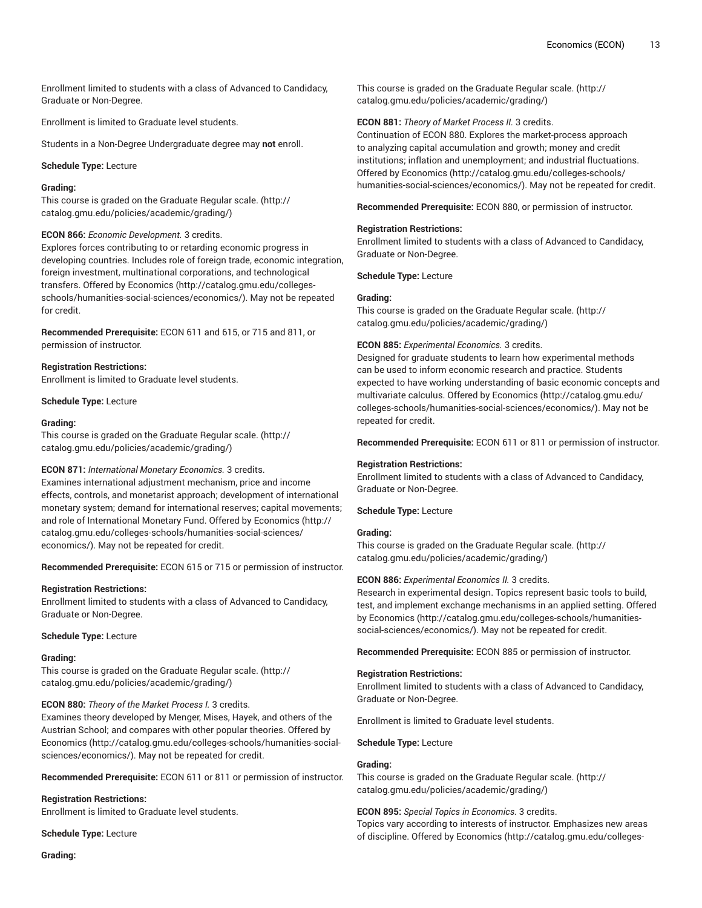Enrollment limited to students with a class of Advanced to Candidacy, Graduate or Non-Degree.

Enrollment is limited to Graduate level students.

Students in a Non-Degree Undergraduate degree may **not** enroll.

**Schedule Type:** Lecture

#### **Grading:**

This course is graded on the [Graduate Regular scale.](http://catalog.gmu.edu/policies/academic/grading/) [\(http://](http://catalog.gmu.edu/policies/academic/grading/) [catalog.gmu.edu/policies/academic/grading/\)](http://catalog.gmu.edu/policies/academic/grading/)

#### **ECON 866:** *Economic Development.* 3 credits.

Explores forces contributing to or retarding economic progress in developing countries. Includes role of foreign trade, economic integration, foreign investment, multinational corporations, and technological transfers. Offered by [Economics](http://catalog.gmu.edu/colleges-schools/humanities-social-sciences/economics/) [\(http://catalog.gmu.edu/colleges](http://catalog.gmu.edu/colleges-schools/humanities-social-sciences/economics/)[schools/humanities-social-sciences/economics/](http://catalog.gmu.edu/colleges-schools/humanities-social-sciences/economics/)). May not be repeated for credit.

**Recommended Prerequisite:** ECON 611 and 615, or 715 and 811, or permission of instructor.

#### **Registration Restrictions:**

Enrollment is limited to Graduate level students.

#### **Schedule Type:** Lecture

### **Grading:**

This course is graded on the [Graduate Regular scale.](http://catalog.gmu.edu/policies/academic/grading/) [\(http://](http://catalog.gmu.edu/policies/academic/grading/) [catalog.gmu.edu/policies/academic/grading/\)](http://catalog.gmu.edu/policies/academic/grading/)

#### **ECON 871:** *International Monetary Economics.* 3 credits.

Examines international adjustment mechanism, price and income effects, controls, and monetarist approach; development of international monetary system; demand for international reserves; capital movements; and role of International Monetary Fund. Offered by [Economics](http://catalog.gmu.edu/colleges-schools/humanities-social-sciences/economics/) [\(http://](http://catalog.gmu.edu/colleges-schools/humanities-social-sciences/economics/) [catalog.gmu.edu/colleges-schools/humanities-social-sciences/](http://catalog.gmu.edu/colleges-schools/humanities-social-sciences/economics/) [economics/\)](http://catalog.gmu.edu/colleges-schools/humanities-social-sciences/economics/). May not be repeated for credit.

**Recommended Prerequisite:** ECON 615 or 715 or permission of instructor.

#### **Registration Restrictions:**

Enrollment limited to students with a class of Advanced to Candidacy, Graduate or Non-Degree.

#### **Schedule Type:** Lecture

#### **Grading:**

This course is graded on the [Graduate Regular scale.](http://catalog.gmu.edu/policies/academic/grading/) [\(http://](http://catalog.gmu.edu/policies/academic/grading/) [catalog.gmu.edu/policies/academic/grading/\)](http://catalog.gmu.edu/policies/academic/grading/)

# **ECON 880:** *Theory of the Market Process I.* 3 credits.

Examines theory developed by Menger, Mises, Hayek, and others of the Austrian School; and compares with other popular theories. Offered by [Economics](http://catalog.gmu.edu/colleges-schools/humanities-social-sciences/economics/) ([http://catalog.gmu.edu/colleges-schools/humanities-social](http://catalog.gmu.edu/colleges-schools/humanities-social-sciences/economics/)[sciences/economics/\)](http://catalog.gmu.edu/colleges-schools/humanities-social-sciences/economics/). May not be repeated for credit.

**Recommended Prerequisite:** ECON 611 or 811 or permission of instructor.

#### **Registration Restrictions:**

Enrollment is limited to Graduate level students.

**Schedule Type:** Lecture

**Grading:**

This course is graded on the [Graduate Regular scale.](http://catalog.gmu.edu/policies/academic/grading/) ([http://](http://catalog.gmu.edu/policies/academic/grading/) [catalog.gmu.edu/policies/academic/grading/](http://catalog.gmu.edu/policies/academic/grading/))

### **ECON 881:** *Theory of Market Process II.* 3 credits.

Continuation of ECON 880. Explores the market-process approach to analyzing capital accumulation and growth; money and credit institutions; inflation and unemployment; and industrial fluctuations. Offered by [Economics](http://catalog.gmu.edu/colleges-schools/humanities-social-sciences/economics/) ([http://catalog.gmu.edu/colleges-schools/](http://catalog.gmu.edu/colleges-schools/humanities-social-sciences/economics/) [humanities-social-sciences/economics/](http://catalog.gmu.edu/colleges-schools/humanities-social-sciences/economics/)). May not be repeated for credit.

**Recommended Prerequisite:** ECON 880, or permission of instructor.

### **Registration Restrictions:**

Enrollment limited to students with a class of Advanced to Candidacy, Graduate or Non-Degree.

**Schedule Type:** Lecture

#### **Grading:**

This course is graded on the [Graduate Regular scale.](http://catalog.gmu.edu/policies/academic/grading/) ([http://](http://catalog.gmu.edu/policies/academic/grading/) [catalog.gmu.edu/policies/academic/grading/](http://catalog.gmu.edu/policies/academic/grading/))

#### **ECON 885:** *Experimental Economics.* 3 credits.

Designed for graduate students to learn how experimental methods can be used to inform economic research and practice. Students expected to have working understanding of basic economic concepts and multivariate calculus. Offered by [Economics](http://catalog.gmu.edu/colleges-schools/humanities-social-sciences/economics/) ([http://catalog.gmu.edu/](http://catalog.gmu.edu/colleges-schools/humanities-social-sciences/economics/) [colleges-schools/humanities-social-sciences/economics/](http://catalog.gmu.edu/colleges-schools/humanities-social-sciences/economics/)). May not be repeated for credit.

**Recommended Prerequisite:** ECON 611 or 811 or permission of instructor.

#### **Registration Restrictions:**

Enrollment limited to students with a class of Advanced to Candidacy, Graduate or Non-Degree.

**Schedule Type:** Lecture

#### **Grading:**

This course is graded on the [Graduate Regular scale.](http://catalog.gmu.edu/policies/academic/grading/) ([http://](http://catalog.gmu.edu/policies/academic/grading/) [catalog.gmu.edu/policies/academic/grading/](http://catalog.gmu.edu/policies/academic/grading/))

# **ECON 886:** *Experimental Economics II.* 3 credits.

Research in experimental design. Topics represent basic tools to build, test, and implement exchange mechanisms in an applied setting. Offered by [Economics \(http://catalog.gmu.edu/colleges-schools/humanities](http://catalog.gmu.edu/colleges-schools/humanities-social-sciences/economics/)[social-sciences/economics/\)](http://catalog.gmu.edu/colleges-schools/humanities-social-sciences/economics/). May not be repeated for credit.

**Recommended Prerequisite:** ECON 885 or permission of instructor.

#### **Registration Restrictions:**

Enrollment limited to students with a class of Advanced to Candidacy, Graduate or Non-Degree.

Enrollment is limited to Graduate level students.

**Schedule Type:** Lecture

# **Grading:**

This course is graded on the [Graduate Regular scale.](http://catalog.gmu.edu/policies/academic/grading/) ([http://](http://catalog.gmu.edu/policies/academic/grading/) [catalog.gmu.edu/policies/academic/grading/](http://catalog.gmu.edu/policies/academic/grading/))

**ECON 895:** *Special Topics in Economics.* 3 credits. Topics vary according to interests of instructor. Emphasizes new areas of discipline. Offered by [Economics](http://catalog.gmu.edu/colleges-schools/humanities-social-sciences/economics/) ([http://catalog.gmu.edu/colleges-](http://catalog.gmu.edu/colleges-schools/humanities-social-sciences/economics/)